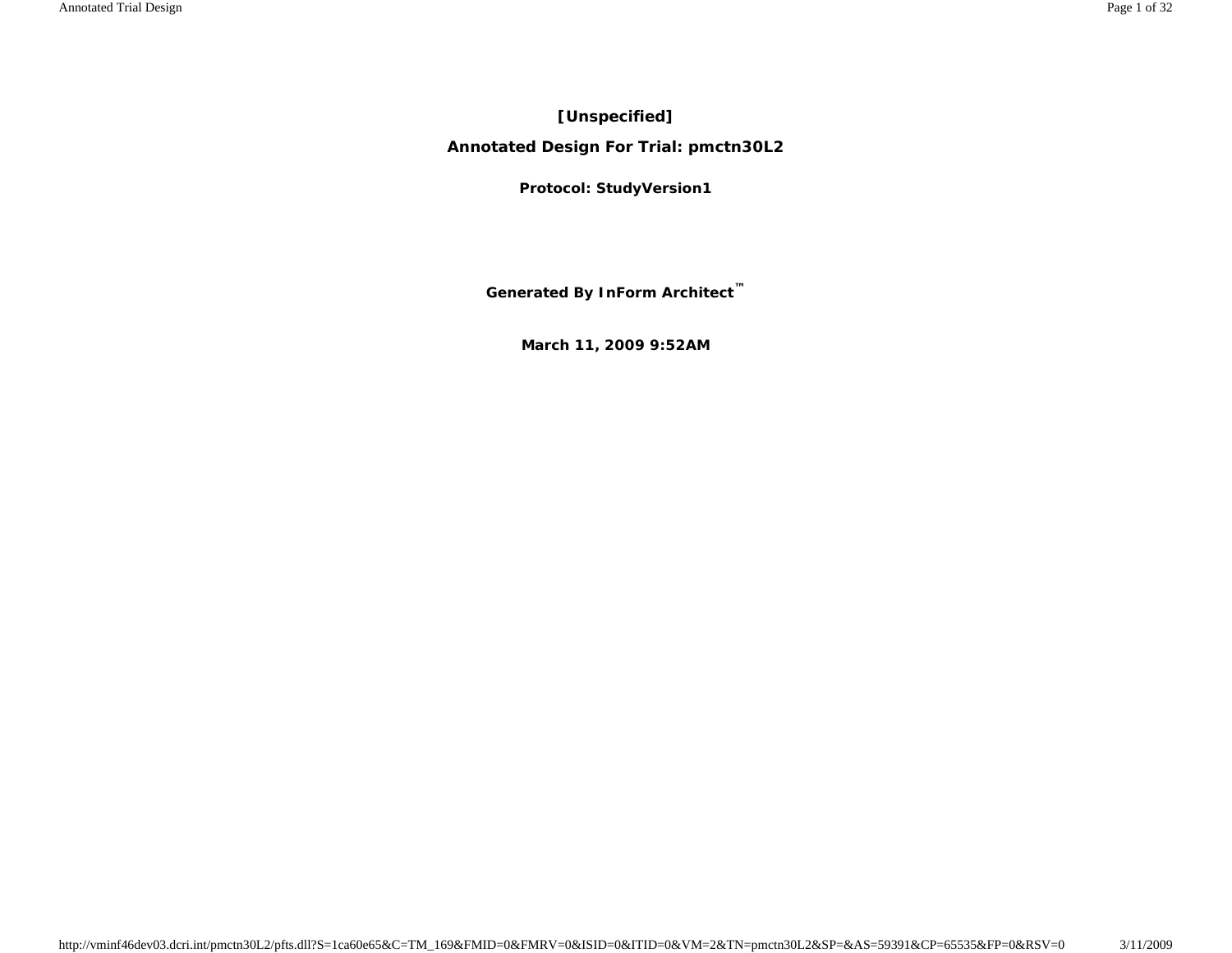# **[Unspecified]**

**Annotated Design For Trial: pmctn30L2**

**Protocol: StudyVersion1**

**Generated By InForm Architect ™**

**March 11, 2009 9:52AM**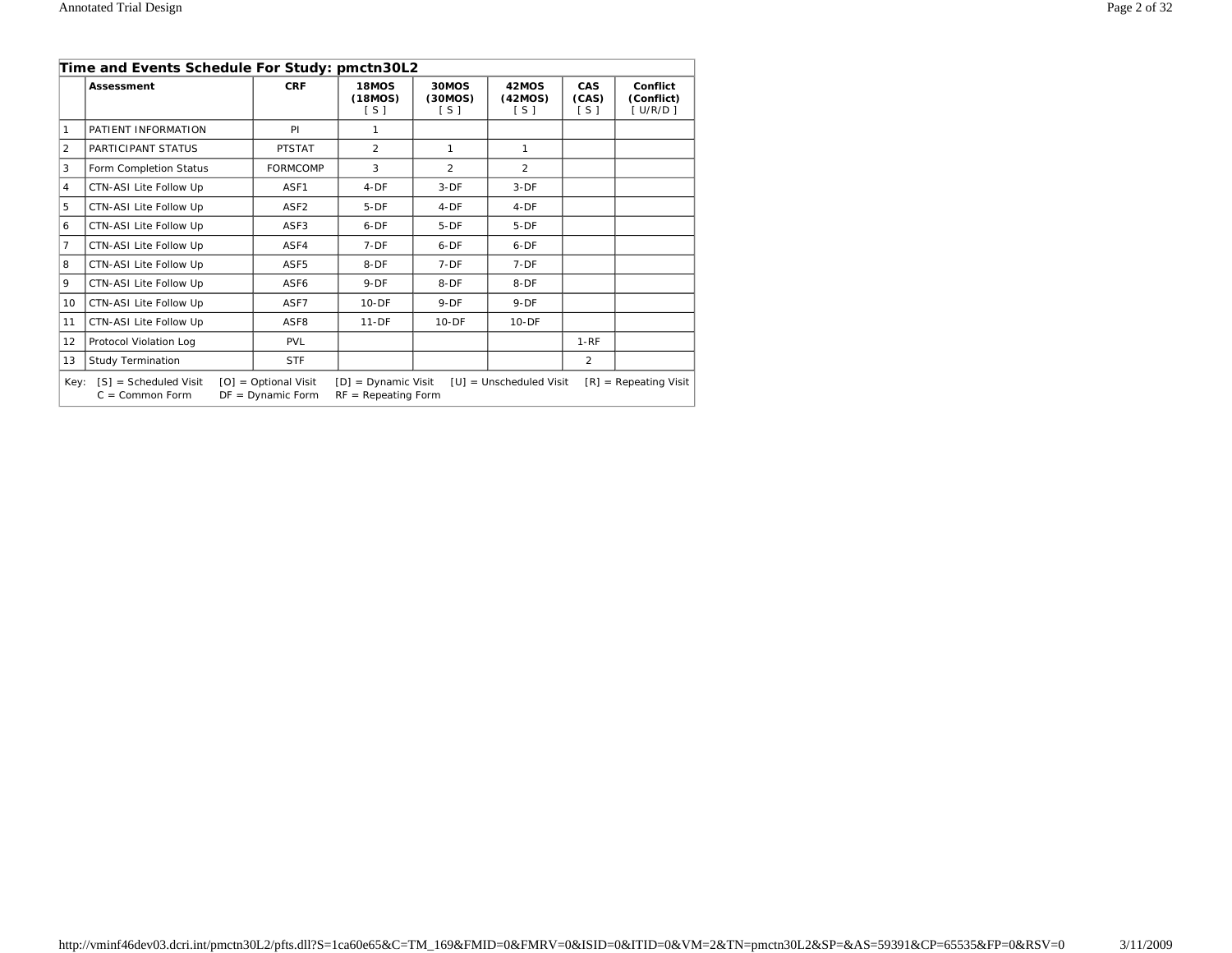|                | Time and Events Schedule For Study: pmctn30L2                                                                                                                                                                          |                  |                           |                           |                           |                              |                                   |
|----------------|------------------------------------------------------------------------------------------------------------------------------------------------------------------------------------------------------------------------|------------------|---------------------------|---------------------------|---------------------------|------------------------------|-----------------------------------|
|                | Assessment                                                                                                                                                                                                             | <b>CRF</b>       | 18MOS<br>(18MOS)<br>[ S ] | 30MOS<br>(30MOS)<br>[ S ] | 42MOS<br>(42MOS)<br>[ S ] | <b>CAS</b><br>(CAS)<br>[ S ] | Conflict<br>(Conflict)<br>[U/R/D] |
| 1              | PATIENT INFORMATION                                                                                                                                                                                                    | PI               | 1                         |                           |                           |                              |                                   |
| $\mathfrak{D}$ | PARTICIPANT STATUS                                                                                                                                                                                                     | <b>PTSTAT</b>    | $\mathfrak{D}$            | $\mathbf{1}$              | $\mathbf{1}$              |                              |                                   |
| 3              | Form Completion Status                                                                                                                                                                                                 | <b>FORMCOMP</b>  | 3                         | $\mathfrak{D}$            | $\mathfrak{D}$            |                              |                                   |
| 4              | CTN-ASI Lite Follow Up                                                                                                                                                                                                 | ASF1             | $4-DF$                    | $3-DF$                    | $3-DF$                    |                              |                                   |
| 5              | CTN-ASI Lite Follow Up                                                                                                                                                                                                 | ASF <sub>2</sub> | $5-DF$                    | $4-DF$                    | $4-DF$                    |                              |                                   |
| 6              | CTN-ASI Lite Follow Up                                                                                                                                                                                                 | ASF3             | $6-DF$                    | $5-DF$                    | $5-DF$                    |                              |                                   |
| 7              | CTN-ASI Lite Follow Up                                                                                                                                                                                                 | ASF4             | $7-DF$                    | $6-DF$                    | $6-DF$                    |                              |                                   |
| 8              | CTN-ASI Lite Follow Up                                                                                                                                                                                                 | ASF <sub>5</sub> | 8-DF                      | $7-DF$                    | $7-DF$                    |                              |                                   |
| 9              | CTN-ASI Lite Follow Up                                                                                                                                                                                                 | ASF6             | $9-DF$                    | $8-DF$                    | $8-DF$                    |                              |                                   |
| 10             | CTN-ASI Lite Follow Up                                                                                                                                                                                                 | ASF7             | $10 - DF$                 | $9-DF$                    | $9-DF$                    |                              |                                   |
| 11             | CTN-ASI Lite Follow Up                                                                                                                                                                                                 | ASF <sub>8</sub> | $11-DF$                   | $10 - DF$                 | $10-DF$                   |                              |                                   |
| 12             | Protocol Violation Log                                                                                                                                                                                                 | <b>PVL</b>       |                           |                           |                           | $1 - RF$                     |                                   |
| 13             | <b>Study Termination</b>                                                                                                                                                                                               | <b>STF</b>       |                           |                           |                           | $\mathfrak{D}$               |                                   |
|                | $[S]$ = Scheduled Visit<br>$[O] = \text{Optional Visit}$<br>$[D] =$ Dynamic Visit<br>$[R]$ = Repeating Visit<br>Kev:<br>$[U] =$ Unscheduled Visit<br>$C = Common Form$<br>$DF = Dynamic Form$<br>$RF = Repeating Form$ |                  |                           |                           |                           |                              |                                   |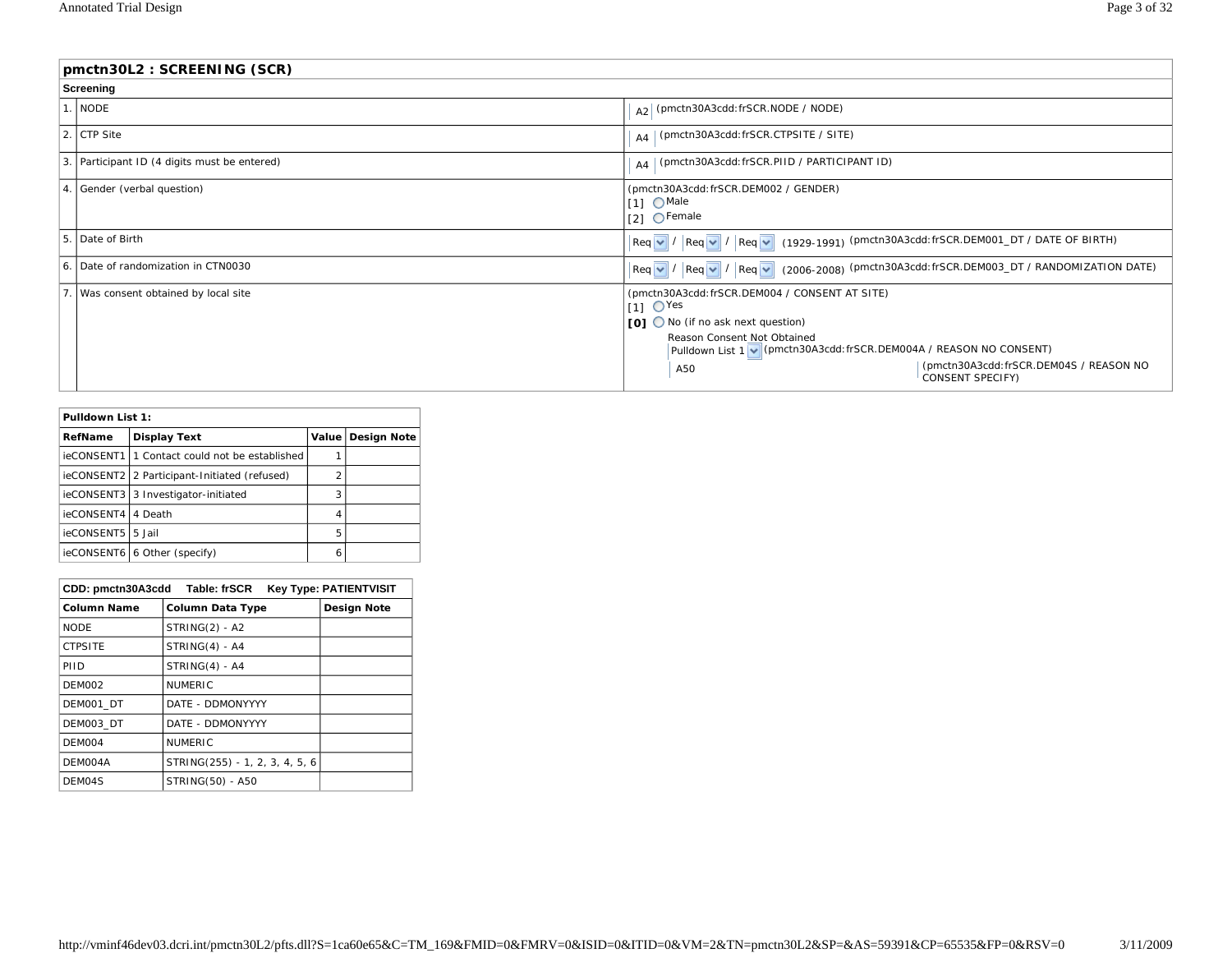|                  | pmctn30L2: SCREENING (SCR)                   |                                                                                                                                                                                                                                                                                              |  |  |
|------------------|----------------------------------------------|----------------------------------------------------------------------------------------------------------------------------------------------------------------------------------------------------------------------------------------------------------------------------------------------|--|--|
|                  | Screening                                    |                                                                                                                                                                                                                                                                                              |  |  |
|                  | . NODE                                       | A2 (pmctn30A3cdd: frSCR.NODE / NODE)                                                                                                                                                                                                                                                         |  |  |
|                  | 2. CTP Site                                  | $A_4$ (pmctn30A3cdd: frSCR.CTPSITE / SITE)                                                                                                                                                                                                                                                   |  |  |
|                  | 3. Participant ID (4 digits must be entered) | A4   (pmctn30A3cdd: frSCR.PIID / PARTICIPANT ID)                                                                                                                                                                                                                                             |  |  |
| $\overline{4}$ . | Sender (verbal question)                     | (pmctn30A3cdd: frSCR.DEM002 / GENDER)<br>$11 \bigcirc$ Male<br>$[2]$ $\bigcirc$ Female                                                                                                                                                                                                       |  |  |
|                  | 5. Date of Birth                             | $\left \text{Req } \vee\right  / \left \text{Req } \vee\right  / \left \text{Req } \vee\right $ (1929-1991) (pmctn30A3cdd: frSCR.DEM001_DT / DATE OF BIRTH)                                                                                                                                  |  |  |
|                  | 6. Date of randomization in CTN0030          | $\lvert \text{Req } \vee \rvert / \lvert \text{Req } \vee \rvert / \lvert \text{Req } \vee \rvert$ (2006-2008) (pmctn30A3cdd:frSCR.DEM003_DT / RANDOMIZATION DATE)                                                                                                                           |  |  |
|                  | Was consent obtained by local site           | (pmctn30A3cdd: frSCR.DEM004 / CONSENT AT SITE)<br>$11 \text{ O}$ Yes<br>[0] ◯ No (if no ask next question)<br>Reason Consent Not Obtained<br>Pulldown List 1 v (pmctn30A3cdd: frSCR.DEM004A / REASON NO CONSENT)<br>(pmctn30A3cdd:frSCR.DEM04S / REASON NO<br>A50<br><b>CONSENT SPECIFY)</b> |  |  |

| Pulldown List 1:               |                                                 |                |                     |  |
|--------------------------------|-------------------------------------------------|----------------|---------------------|--|
| <b>Display Text</b><br>RefName |                                                 |                | Value   Design Note |  |
|                                | ieCONSENT1   1 Contact could not be established |                |                     |  |
|                                | ieCONSENT2 2 Participant-Initiated (refused)    | $\overline{2}$ |                     |  |
|                                | ieCONSENT3 3 Investigator-initiated             | 3              |                     |  |
| ieCONSENT4                     | 4 Death                                         | 4              |                     |  |
| ieCONSENT5                     | 5 Jail                                          | 5              |                     |  |
|                                | ieCONSENT6 6 Other (specify)                    | 6              |                     |  |

|                | CDD: pmctn30A3cdd Table: frSCR | <b>Key Type: PATIENTVISIT</b> |
|----------------|--------------------------------|-------------------------------|
| Column Name    | <b>Column Data Type</b>        | <b>Design Note</b>            |
| <b>NODE</b>    | $STRING(2) - A2$               |                               |
| <b>CTPSITE</b> | $STRING(4) - A4$               |                               |
| PHD            | $STRING(4) - A4$               |                               |
| <b>DEM002</b>  | <b>NUMERIC</b>                 |                               |
| DEM001 DT      | DATE - DDMONYYYY               |                               |
| DEM003 DT      | DATE - DDMONYYYY               |                               |
| DEM004         | <b>NUMERIC</b>                 |                               |
| DEM004A        | STRING(255) - 1, 2, 3, 4, 5, 6 |                               |
| DEM04S         | STRING(50) - A50               |                               |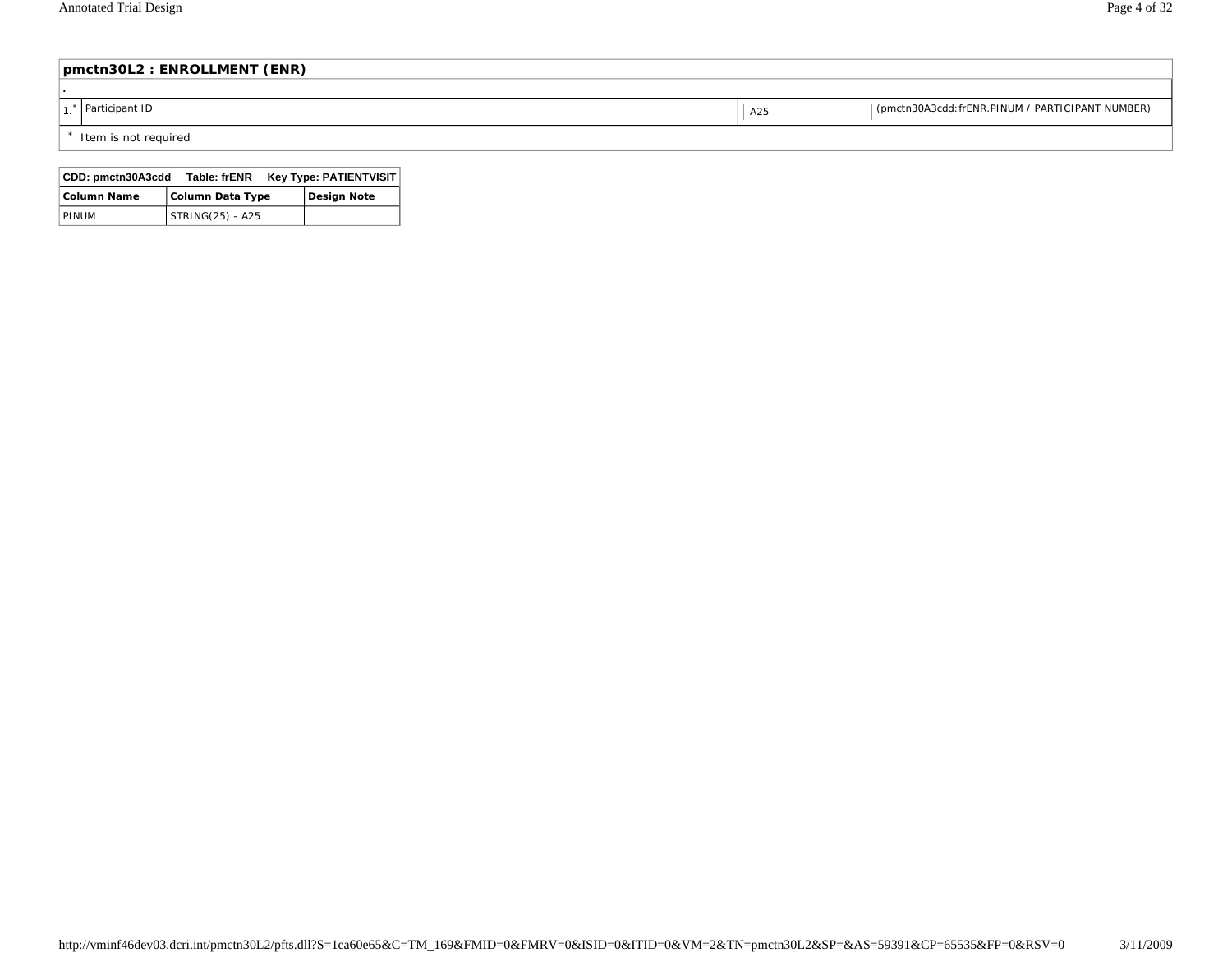| pmctn30L2 : ENROLLMENT (ENR) |     |                                                  |  |  |
|------------------------------|-----|--------------------------------------------------|--|--|
|                              |     |                                                  |  |  |
| Participant ID               | A25 | (pmctn30A3cdd: frENR.PINUM / PARTICIPANT NUMBER) |  |  |
| * Item is not required       |     |                                                  |  |  |

| CDD: pmctn30A3cdd  | Table: frENR     | <b>Key Type: PATIENTVISIT</b> |  |
|--------------------|------------------|-------------------------------|--|
| <b>Column Name</b> | Column Data Type | <b>Design Note</b>            |  |
| PINUM              | STRING(25) - A25 |                               |  |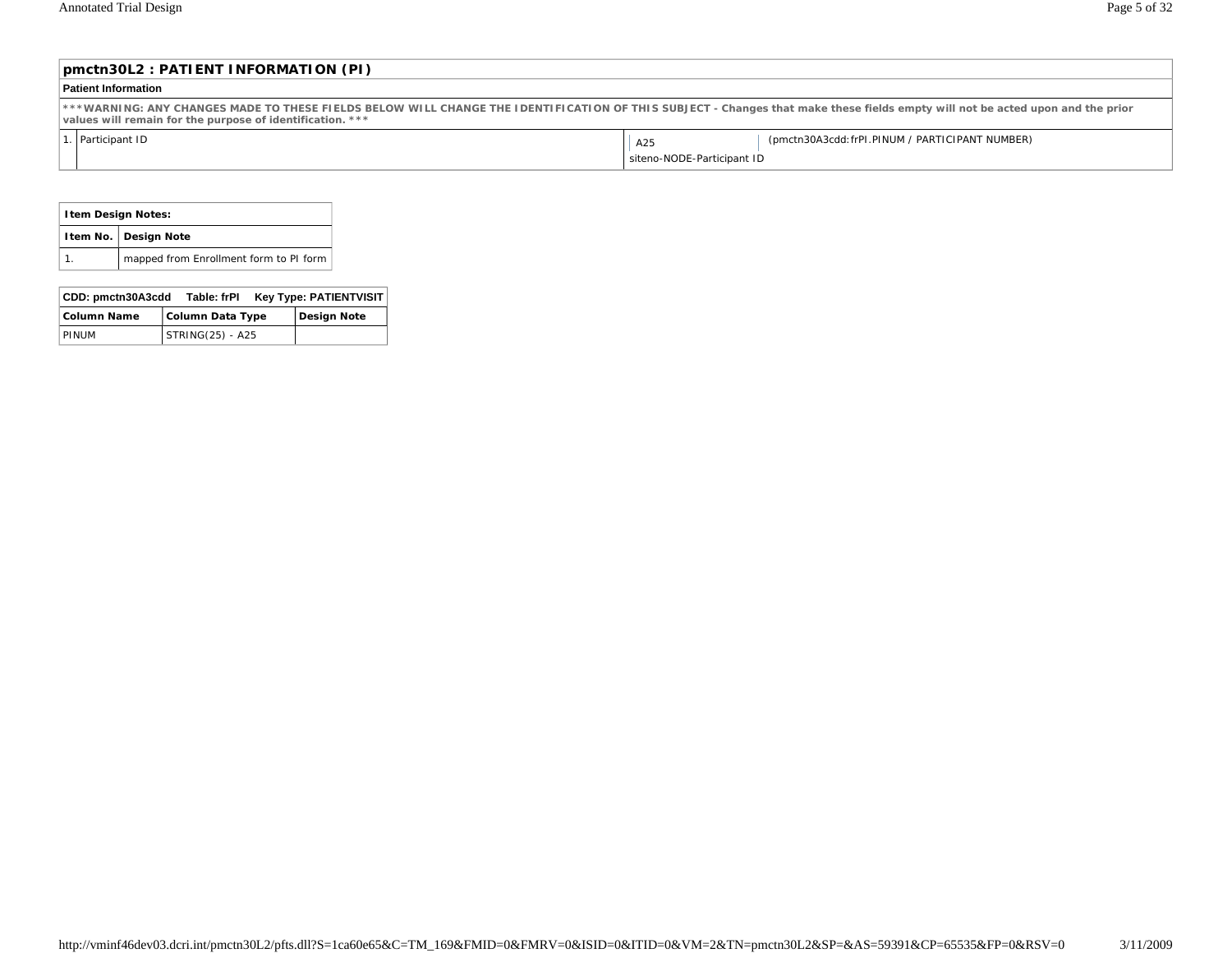| pmctn30L2 : PATIENT INFORMATION (PI)                                                                                                                                                                                                       |  |  |  |  |
|--------------------------------------------------------------------------------------------------------------------------------------------------------------------------------------------------------------------------------------------|--|--|--|--|
| <b>Patient Information</b>                                                                                                                                                                                                                 |  |  |  |  |
| ***WARNING: ANY CHANGES MADE TO THESE FIELDS BELOW WILL CHANGE THE IDENTIFICATION OF THIS SUBJECT - Changes that make these fields empty will not be acted upon and the prior<br>values will remain for the purpose of identification. *** |  |  |  |  |
| . Participant ID<br>(pmctn30A3cdd: frPI.PINUM / PARTICIPANT NUMBER)<br>A25                                                                                                                                                                 |  |  |  |  |
| siteno-NODE-Participant ID                                                                                                                                                                                                                 |  |  |  |  |

|                                                                  | <b>Item Design Notes:</b>              |  |  |  |
|------------------------------------------------------------------|----------------------------------------|--|--|--|
| Item No.   Design Note                                           |                                        |  |  |  |
|                                                                  | mapped from Enrollment form to PI form |  |  |  |
|                                                                  |                                        |  |  |  |
| CDD: must be 20820d<br><b>KAY TUBAL DATIENTUIC</b><br>Table: GDI |                                        |  |  |  |

| ∣ CDD: ɒmctn30A3cdd | Table: frPl        | <b>Key Type: PATIENTVISIT</b> |
|---------------------|--------------------|-------------------------------|
| Column Name         | Column Data Type   | Design Note                   |
| PINUM               | $STRING(25) - A25$ |                               |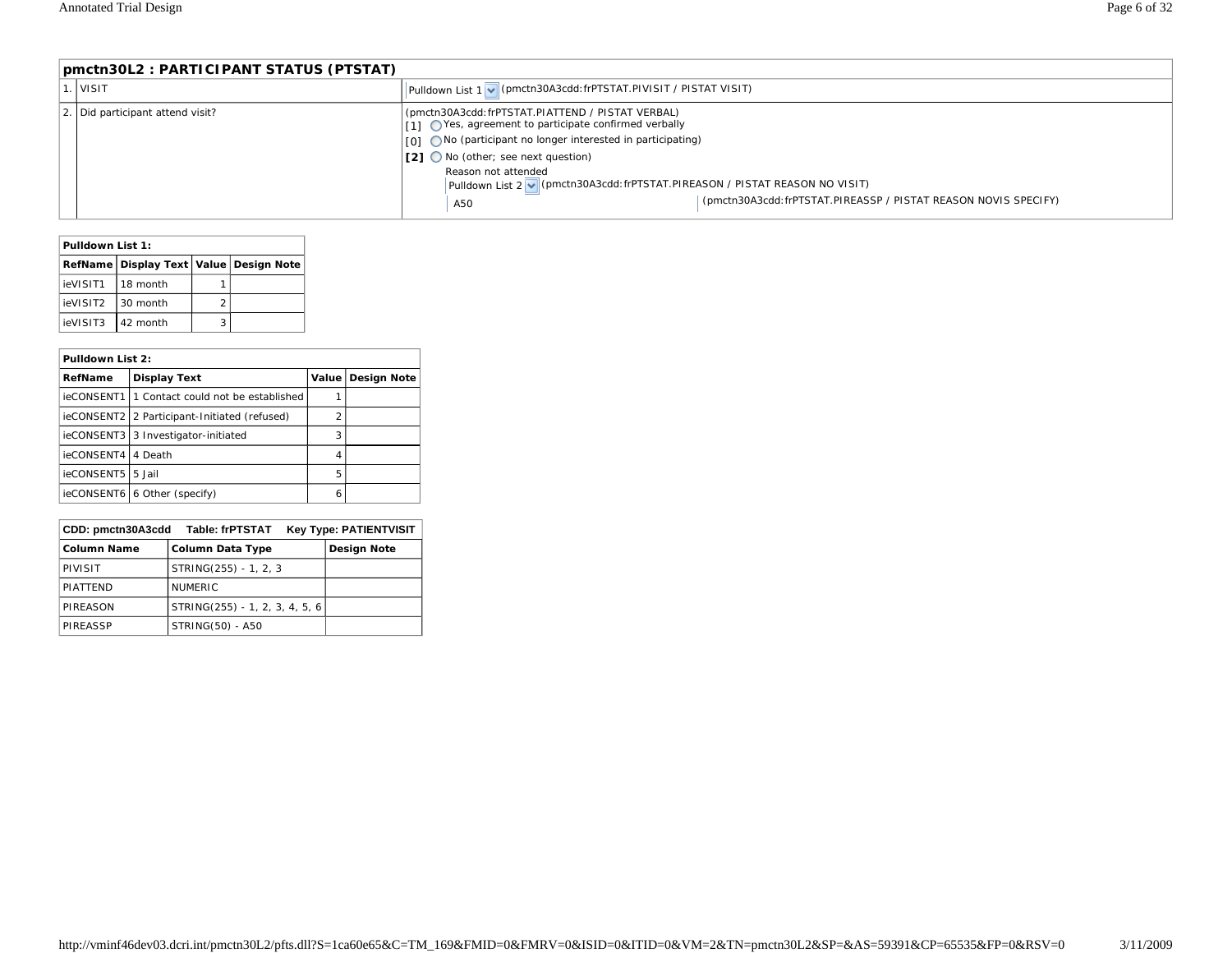| pmctn30L2 : PARTICIPANT STATUS (PTSTAT) |                                                                                                                                                                                                                                                                                                                                                                                                       |  |  |  |
|-----------------------------------------|-------------------------------------------------------------------------------------------------------------------------------------------------------------------------------------------------------------------------------------------------------------------------------------------------------------------------------------------------------------------------------------------------------|--|--|--|
| . I visit                               | Pulldown List 1 M (pmctn30A3cdd: frPTSTAT.PIVISIT / PISTAT VISIT)                                                                                                                                                                                                                                                                                                                                     |  |  |  |
| 2. Did participant attend visit?        | (pmctn30A3cdd:frPTSTAT.PIATTEND / PISTAT VERBAL)<br>(11) ○ Yes, agreement to participate confirmed verbally<br>√01 ○ No (participant no longer interested in participating)<br>  [2] ○ No (other; see next question)<br>Reason not attended<br>Pulldown List 2 V (pmctn30A3cdd: frPTSTAT.PIREASON / PISTAT REASON NO VISIT)<br>(pmctn30A3cdd: frPTSTAT.PIREASSP / PISTAT REASON NOVIS SPECIFY)<br>A50 |  |  |  |

| Pulldown List 1: |                                              |   |  |
|------------------|----------------------------------------------|---|--|
|                  | RefName   Display Text   Value   Design Note |   |  |
| ieVISIT1         | l 18 month                                   |   |  |
| ieVISIT2         | 30 month                                     | 2 |  |
| ieVISIT3         | 42 month                                     |   |  |

#### **Pulldown List 2:**

| <b>Display Text</b><br>RefName |                                                 |   | Value   Design Note |
|--------------------------------|-------------------------------------------------|---|---------------------|
|                                | ieCONSENT1   1 Contact could not be established |   |                     |
|                                | ieCONSENT2 2 Participant-Initiated (refused)    | 2 |                     |
|                                | ieCONSENT3   3 Investigator-initiated           | 3 |                     |
| ieCONSENT4   4 Death           |                                                 | 4 |                     |
| ieCONSENT5 5 Jail              |                                                 | 5 |                     |
|                                | ieCONSENT6 6 Other (specify)                    | ь |                     |

| CDD: pmctn30A3cdd  | Table: frPTSTAT                | <b>Key Type: PATIENTVISIT</b> |
|--------------------|--------------------------------|-------------------------------|
| <b>Column Name</b> | <b>Column Data Type</b>        | <b>Design Note</b>            |
| PIVISIT            | STRING(255) - 1, 2, 3          |                               |
| <b>PIATTEND</b>    | <b>NUMERIC</b>                 |                               |
| PIREASON           | STRING(255) - 1, 2, 3, 4, 5, 6 |                               |
| PIREASSP           | STRING(50) - A50               |                               |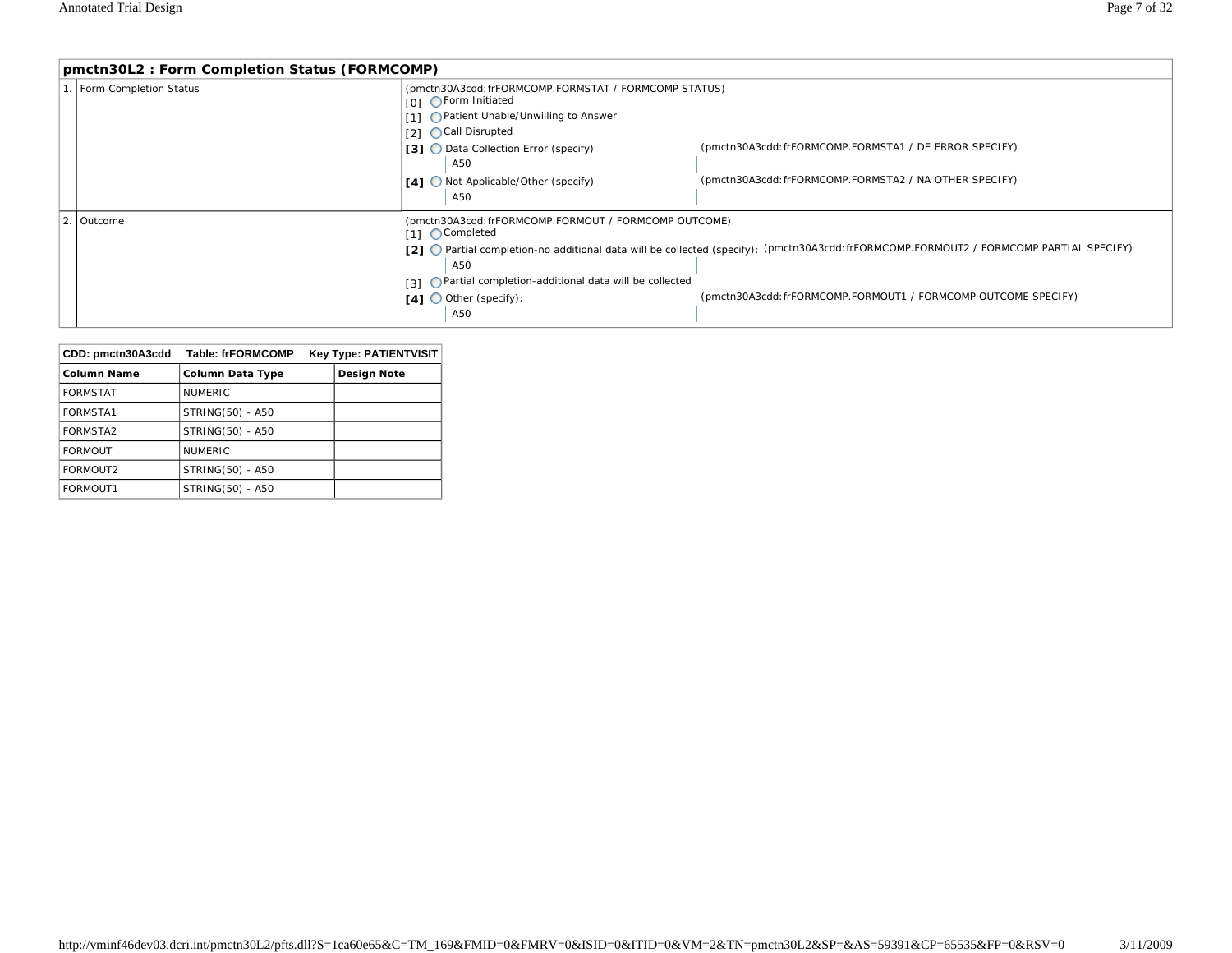| pmctn30L2: Form Completion Status (FORMCOMP) |                                                                                                                                                                                                                                                                                                                                              |                                                                                                                 |  |  |  |
|----------------------------------------------|----------------------------------------------------------------------------------------------------------------------------------------------------------------------------------------------------------------------------------------------------------------------------------------------------------------------------------------------|-----------------------------------------------------------------------------------------------------------------|--|--|--|
| . Form Completion Status                     | (pmctn30A3cdd: frFORMCOMP.FORMSTAT / FORMCOMP STATUS)<br>101 OForm Initiated<br>111 OPatient Unable/Unwilling to Answer<br>121 ○ Call Disrupted<br><b>[3] ◯</b> Data Collection Error (specify)<br>A50<br>  [4] ○ Not Applicable/Other (specify)                                                                                             | (pmctn30A3cdd: frFORMCOMP.FORMSTA1 / DE ERROR SPECIFY)<br>(pmctn30A3cdd:frFORMCOMP.FORMSTA2 / NA OTHER SPECIFY) |  |  |  |
|                                              | A50                                                                                                                                                                                                                                                                                                                                          |                                                                                                                 |  |  |  |
| 2. Outcome                                   | (pmctn30A3cdd: frFORMCOMP.FORMOUT / FORMCOMP OUTCOME)<br>f11 ○ Completed<br>[2] O Partial completion-no additional data will be collected (specify): (pmctn30A3cdd: frFORMCOMP.FORMOUT2 / FORMCOMP PARTIAL SPECIFY)<br>A50<br>$I_{3J}$ O Partial completion-additional data will be collected<br>$\lceil 4 \rceil$ O Other (specify):<br>A50 | (pmctn30A3cdd:frFORMCOMP.FORMOUT1 / FORMCOMP OUTCOME SPECIFY)                                                   |  |  |  |

| CDD: pmctn30A3cdd  | <b>Table: frFORMCOMP</b> | <b>Key Type: PATIENTVISIT</b> |
|--------------------|--------------------------|-------------------------------|
| <b>Column Name</b> | <b>Column Data Type</b>  | <b>Design Note</b>            |
| <b>FORMSTAT</b>    | <b>NUMERIC</b>           |                               |
| <b>FORMSTA1</b>    | STRING(50) - A50         |                               |
| FORMSTA2           | STRING(50) - A50         |                               |
| <b>FORMOUT</b>     | <b>NUMERIC</b>           |                               |
| FORMOUT2           | STRING(50) - A50         |                               |
| FORMOUT1           | STRING(50) - A50         |                               |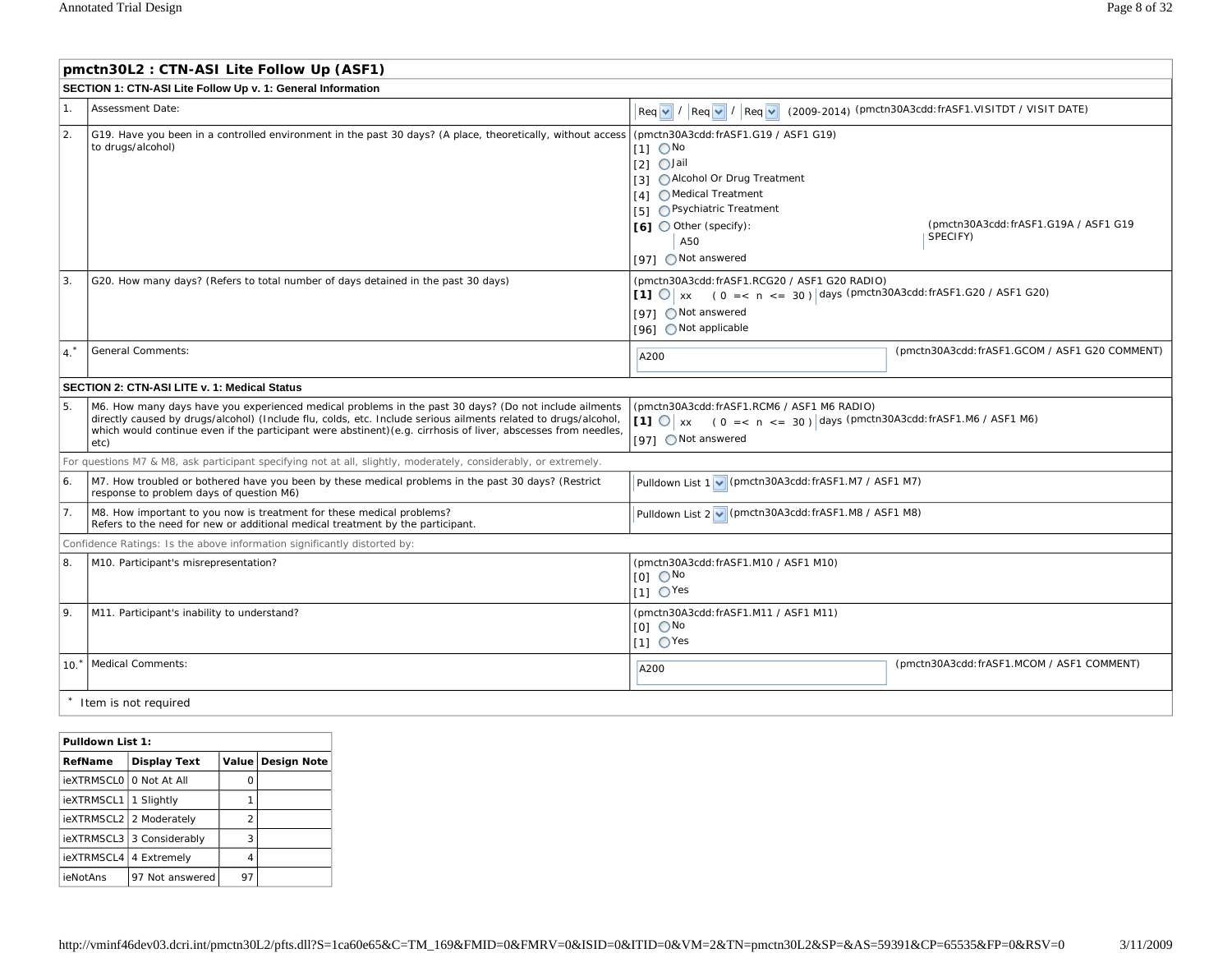$\Gamma$ 

|                  | pmctn30L2: CTN-ASI Lite Follow Up (ASF1)                                                                                                                                                                                                                                                                                                          |                                                                                                                                                                                                                                         |                                                   |  |
|------------------|---------------------------------------------------------------------------------------------------------------------------------------------------------------------------------------------------------------------------------------------------------------------------------------------------------------------------------------------------|-----------------------------------------------------------------------------------------------------------------------------------------------------------------------------------------------------------------------------------------|---------------------------------------------------|--|
|                  | SECTION 1: CTN-ASI Lite Follow Up v. 1: General Information                                                                                                                                                                                                                                                                                       |                                                                                                                                                                                                                                         |                                                   |  |
| $\mathbf{1}$     | Assessment Date:                                                                                                                                                                                                                                                                                                                                  | Req v / Req v / Req v (2009-2014) (pmctn30A3cdd: frASF1.VISITDT / VISIT DATE)                                                                                                                                                           |                                                   |  |
| $\overline{2}$ . | G19. Have you been in a controlled environment in the past 30 days? (A place, theoretically, without access<br>to drugs/alcohol)                                                                                                                                                                                                                  | (pmctn30A3cdd: frASF1.G19 / ASF1 G19)<br>$[1]$ $\bigcirc$ No<br>$[2]$ $\bigcirc$ Jail<br>[3] O Alcohol Or Drug Treatment<br>[4] ○ Medical Treatment<br>[5] OPsychiatric Treatment<br>[6] Other (specify):<br>A50<br>[97] ○ Not answered | (pmctn30A3cdd: frASF1.G19A / ASF1 G19<br>SPECIFY) |  |
| 3.               | G20. How many days? (Refers to total number of days detained in the past 30 days)                                                                                                                                                                                                                                                                 | (pmctn30A3cdd: frASF1.RCG20 / ASF1 G20 RADIO)<br>[1] $\bigcirc$ x (0 = < n <= 30) days (pmctn30A3cdd: frASF1.G20 / ASF1 G20)<br>[97] ○ Not answered<br>[96] ○ Not applicable                                                            |                                                   |  |
| $4^*$            | <b>General Comments:</b>                                                                                                                                                                                                                                                                                                                          | A200                                                                                                                                                                                                                                    | (pmctn30A3cdd: frASF1.GCOM / ASF1 G20 COMMENT)    |  |
|                  | <b>SECTION 2: CTN-ASI LITE v. 1: Medical Status</b>                                                                                                                                                                                                                                                                                               |                                                                                                                                                                                                                                         |                                                   |  |
| 5                | M6. How many days have you experienced medical problems in the past 30 days? (Do not include ailments<br>directly caused by drugs/alcohol) (Include flu, colds, etc. Include serious ailments related to drugs/alcohol,<br>which would continue even if the participant were abstinent) (e.g. cirrhosis of liver, abscesses from needles,<br>etc) | (pmctn30A3cdd: frASF1.RCM6 / ASF1 M6 RADIO)<br>[1] $\bigcirc$ xx (0 = < n < = 30) days (pmctn30A3cdd:frASF1.M6 / ASF1 M6)<br>[97] O Not answered                                                                                        |                                                   |  |
|                  | For questions M7 & M8, ask participant specifying not at all, slightly, moderately, considerably, or extremely.                                                                                                                                                                                                                                   |                                                                                                                                                                                                                                         |                                                   |  |
| 6.               | M7. How troubled or bothered have you been by these medical problems in the past 30 days? (Restrict<br>response to problem days of question M6)                                                                                                                                                                                                   | Pulldown List 1 v (pmctn30A3cdd: frASF1.M7 / ASF1 M7)                                                                                                                                                                                   |                                                   |  |
| 7.               | M8. How important to you now is treatment for these medical problems?<br>Refers to the need for new or additional medical treatment by the participant.                                                                                                                                                                                           | Pulldown List 2 v (pmctn30A3cdd: frASF1.M8 / ASF1 M8)                                                                                                                                                                                   |                                                   |  |
|                  | Confidence Ratings: Is the above information significantly distorted by:                                                                                                                                                                                                                                                                          |                                                                                                                                                                                                                                         |                                                   |  |
| 8.               | M10. Participant's misrepresentation?                                                                                                                                                                                                                                                                                                             | (pmctn30A3cdd: frASF1.M10 / ASF1 M10)<br>$IOI$ $O$ <sup>No</sup><br>$11 \text{ O}$ Yes                                                                                                                                                  |                                                   |  |
| 9.               | M11. Participant's inability to understand?                                                                                                                                                                                                                                                                                                       | (pmctn30A3cdd: frASF1.M11 / ASF1 M11)<br>$[0]$ $\bigcirc$ No<br>$[1]$ $\bigcirc$ Yes                                                                                                                                                    |                                                   |  |
| $10*$            | Medical Comments:                                                                                                                                                                                                                                                                                                                                 | A200                                                                                                                                                                                                                                    | (pmctn30A3cdd: frASF1.MCOM / ASF1 COMMENT)        |  |
|                  | Item is not required                                                                                                                                                                                                                                                                                                                              |                                                                                                                                                                                                                                         |                                                   |  |

| Pulldown List 1:  |                     |                |                    |
|-------------------|---------------------|----------------|--------------------|
| RefName           | <b>Display Text</b> | Value          | <b>Design Note</b> |
| <b>ieXTRMSCLO</b> | O Not At All        | Ω              |                    |
| ieXTRMSCL1        | 1 Slightly          |                |                    |
| ieXTRMSCL2        | 2 Moderately        | $\overline{2}$ |                    |
| ieXTRMSCL3        | 3 Considerably      | 3              |                    |
| ieXTRMSCL4        | 4 Extremely         | 4              |                    |
| ieNotAns          | 97 Not answered     | 97             |                    |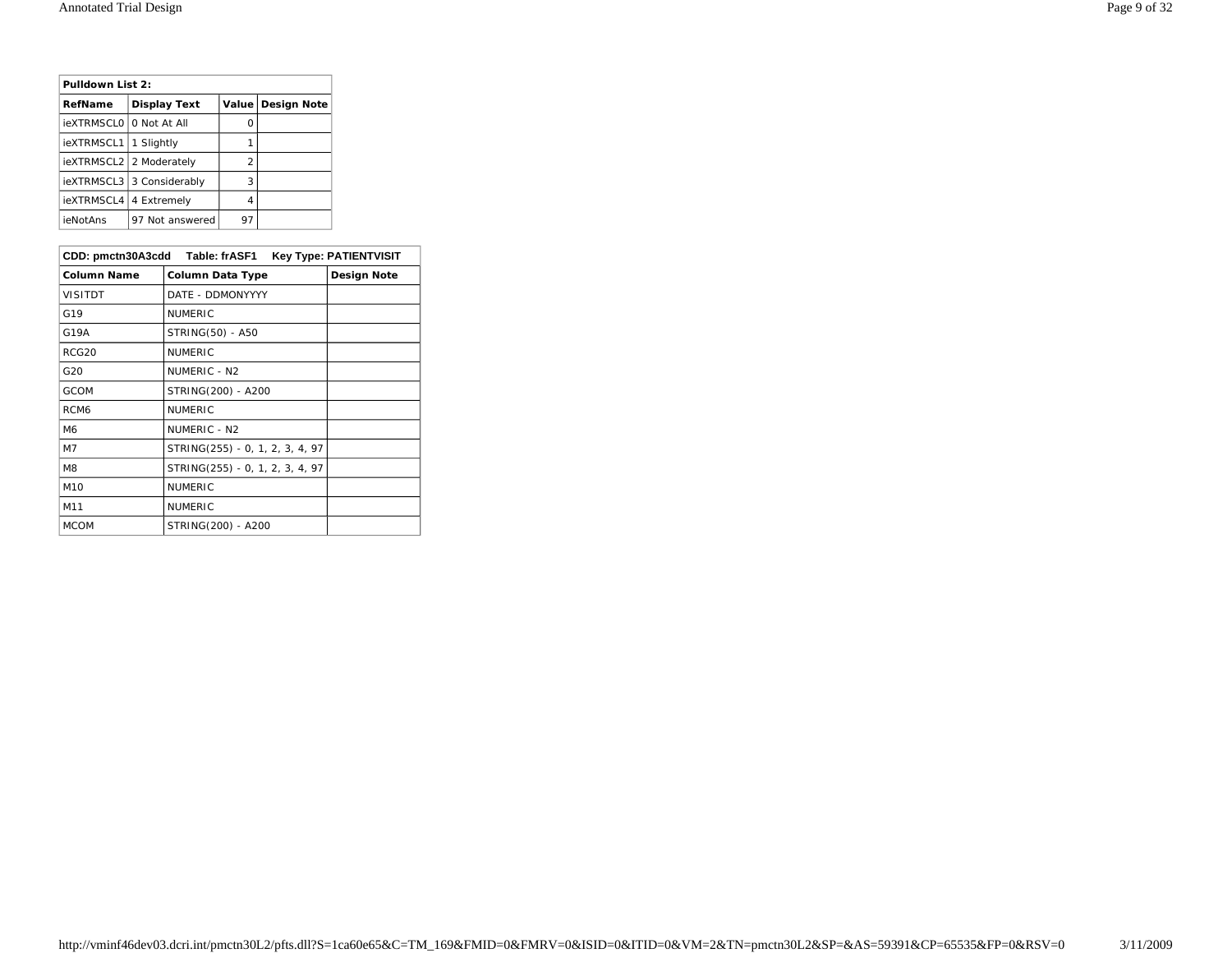| Pulldown List 2: |                     |    |                     |
|------------------|---------------------|----|---------------------|
| RefName          | <b>Display Text</b> |    | Value   Design Note |
| ieXTRMSCL0       | 0 Not At All        | Ω  |                     |
| ieXTRMSCL1       | 1 Slightly          |    |                     |
| ieXTRMSCL2       | 2 Moderately        | 2  |                     |
| ieXTRMSCL3       | 3 Considerably      | 3  |                     |
| ieXTRMSCL4       | 4 Extremely         | 4  |                     |
| ieNotAns         | 97 Not answered     | 97 |                     |

|                    | CDD: pmctn30A3cdd Table: frASF1 | <b>Key Type: PATIENTVISIT</b> |
|--------------------|---------------------------------|-------------------------------|
| <b>Column Name</b> | Column Data Type                | Design Note                   |
| <b>VISITDT</b>     | DATE - DDMONYYYY                |                               |
| G19                | <b>NUMERIC</b>                  |                               |
| G19A               | STRING(50) - A50                |                               |
| RCG20              | <b>NUMERIC</b>                  |                               |
| G20                | NUMERIC - N2                    |                               |
| GCOM               | STRING(200) - A200              |                               |
| RCM <sub>6</sub>   | <b>NUMERIC</b>                  |                               |
| M <sub>6</sub>     | NUMERIC - N2                    |                               |
| M7                 | STRING(255) - 0, 1, 2, 3, 4, 97 |                               |
| M <sub>8</sub>     | STRING(255) - 0, 1, 2, 3, 4, 97 |                               |
| M <sub>10</sub>    | <b>NUMERIC</b>                  |                               |
| M11                | <b>NUMERIC</b>                  |                               |
| <b>MCOM</b>        | STRING(200) - A200              |                               |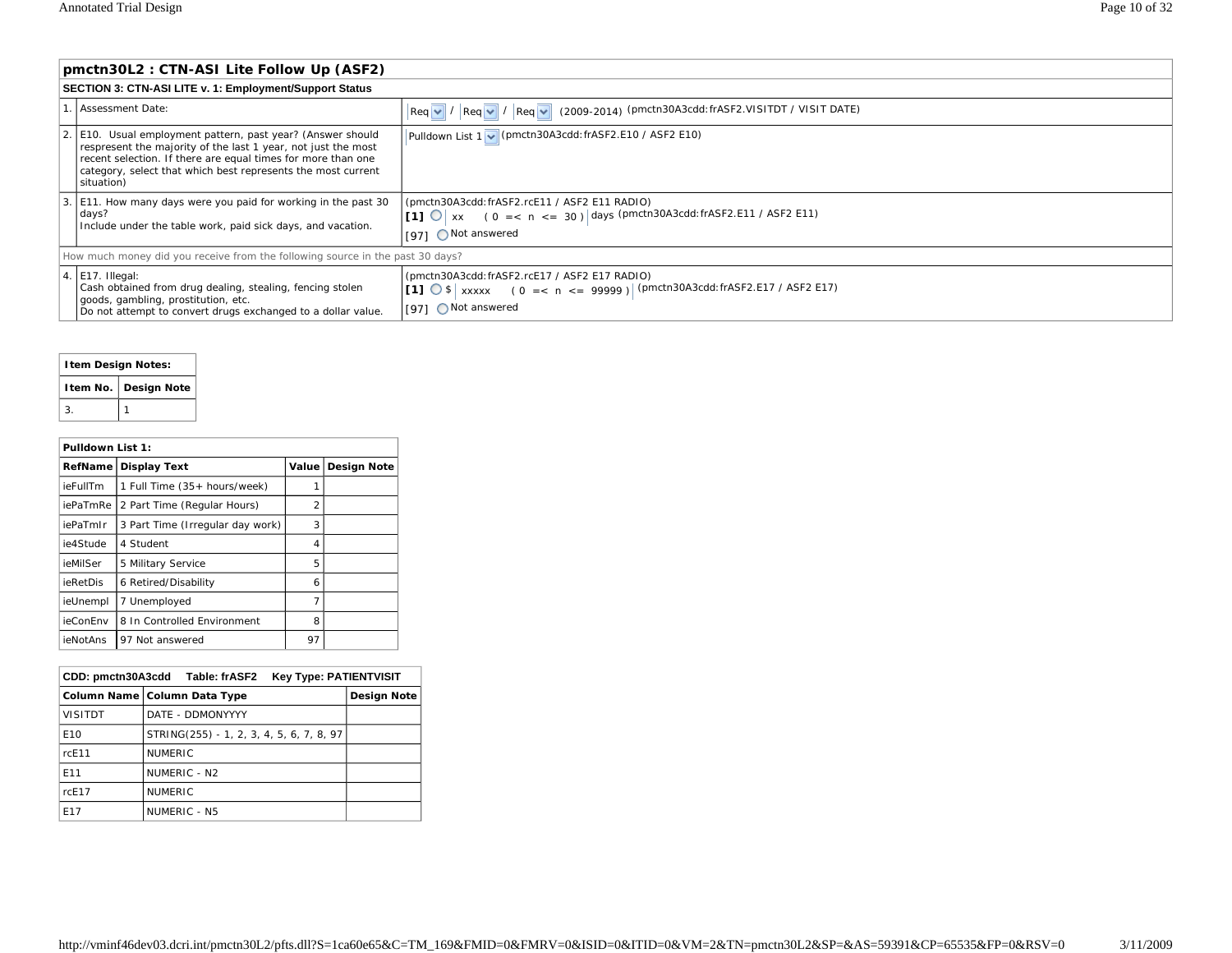| pmctn30L2: CTN-ASI Lite Follow Up (ASF2)                                                                                                                                                                                                                                   |                                                                                                                                                                   |  |  |  |
|----------------------------------------------------------------------------------------------------------------------------------------------------------------------------------------------------------------------------------------------------------------------------|-------------------------------------------------------------------------------------------------------------------------------------------------------------------|--|--|--|
| <b>SECTION 3: CTN-ASI LITE v. 1: Employment/Support Status</b>                                                                                                                                                                                                             |                                                                                                                                                                   |  |  |  |
| .   Assessment Date:                                                                                                                                                                                                                                                       | $\lceil \text{Req } \lor \rceil / \lceil \text{Req } \lor \rceil / \lceil \text{Req } \lor \rceil$ (2009-2014) (pmctn30A3cdd:frASF2.VISITDT / VISIT DATE)         |  |  |  |
| 2. E10. Usual employment pattern, past year? (Answer should<br>respresent the majority of the last 1 year, not just the most<br>recent selection. If there are equal times for more than one<br>category, select that which best represents the most current<br>situation) | Pulldown List 1 v (pmctn30A3cdd: frASF2.E10 / ASF2 E10)                                                                                                           |  |  |  |
| 3. E11. How many days were you paid for working in the past 30<br>days?<br>Include under the table work, paid sick days, and vacation.                                                                                                                                     | (pmctn30A3cdd: frASF2.rcE11 / ASF2 E11 RADIO)<br>  <b>[1]</b> $\bigcirc$   xx (0 = < n < = 30)   days (pmctn30A3cdd: frASF2.E11 / ASF2 E11)<br>1971 ONot answered |  |  |  |
| How much money did you receive from the following source in the past 30 days?                                                                                                                                                                                              |                                                                                                                                                                   |  |  |  |
| 4. E17. Illegal:<br>Cash obtained from drug dealing, stealing, fencing stolen<br>goods, gambling, prostitution, etc.<br>Do not attempt to convert drugs exchanged to a dollar value.                                                                                       | (pmctn30A3cdd:frASF2.rcE17 / ASF2 E17 RADIO)<br><b>[[1]</b> $\bigcirc$ \$ xxxxx (0 = < n < = 99999) (pmctn30A3cdd:frASF2.E17 / ASF2 E17)<br>[97] ○ Not answered   |  |  |  |

# **Item Design Notes: Item No. Design Note**  $3. 11$

| Pulldown List 1: |                                  |                          |                     |
|------------------|----------------------------------|--------------------------|---------------------|
| RefName          | <b>Display Text</b>              |                          | Value   Design Note |
| ieFullTm         | 1 Full Time (35+ hours/week)     |                          |                     |
| iePaTmRe         | 2 Part Time (Regular Hours)      | $\overline{\mathcal{L}}$ |                     |
| iePaTmIr         | 3 Part Time (Irregular day work) | 3                        |                     |
| ie4Stude         | 4 Student                        | 4                        |                     |
| ieMilSer         | 5 Military Service               | 5                        |                     |
| ieRetDis         | 6 Retired/Disability             | 6                        |                     |
| ieUnempl         | 7 Unemployed                     | 7                        |                     |
| ieConEnv         | 8 In Controlled Environment      | 8                        |                     |
| <i>ieNotAns</i>  | 97 Not answered                  | 97                       |                     |

| Table: frASF2<br>CDD: pmctn30A3cdd<br><b>Key Type: PATIENTVISIT</b> |                                          |             |
|---------------------------------------------------------------------|------------------------------------------|-------------|
|                                                                     | Column Name   Column Data Type           | Design Note |
| <b>VISITDT</b>                                                      | DATE - DDMONYYYY                         |             |
| E <sub>10</sub>                                                     | STRING(255) - 1, 2, 3, 4, 5, 6, 7, 8, 97 |             |
| rcE11                                                               | <b>NUMERIC</b>                           |             |
| E11                                                                 | NUMERIC - N2                             |             |
| rcE17                                                               | <b>NUMERIC</b>                           |             |
| F <sub>17</sub>                                                     | NUMERIC - N5                             |             |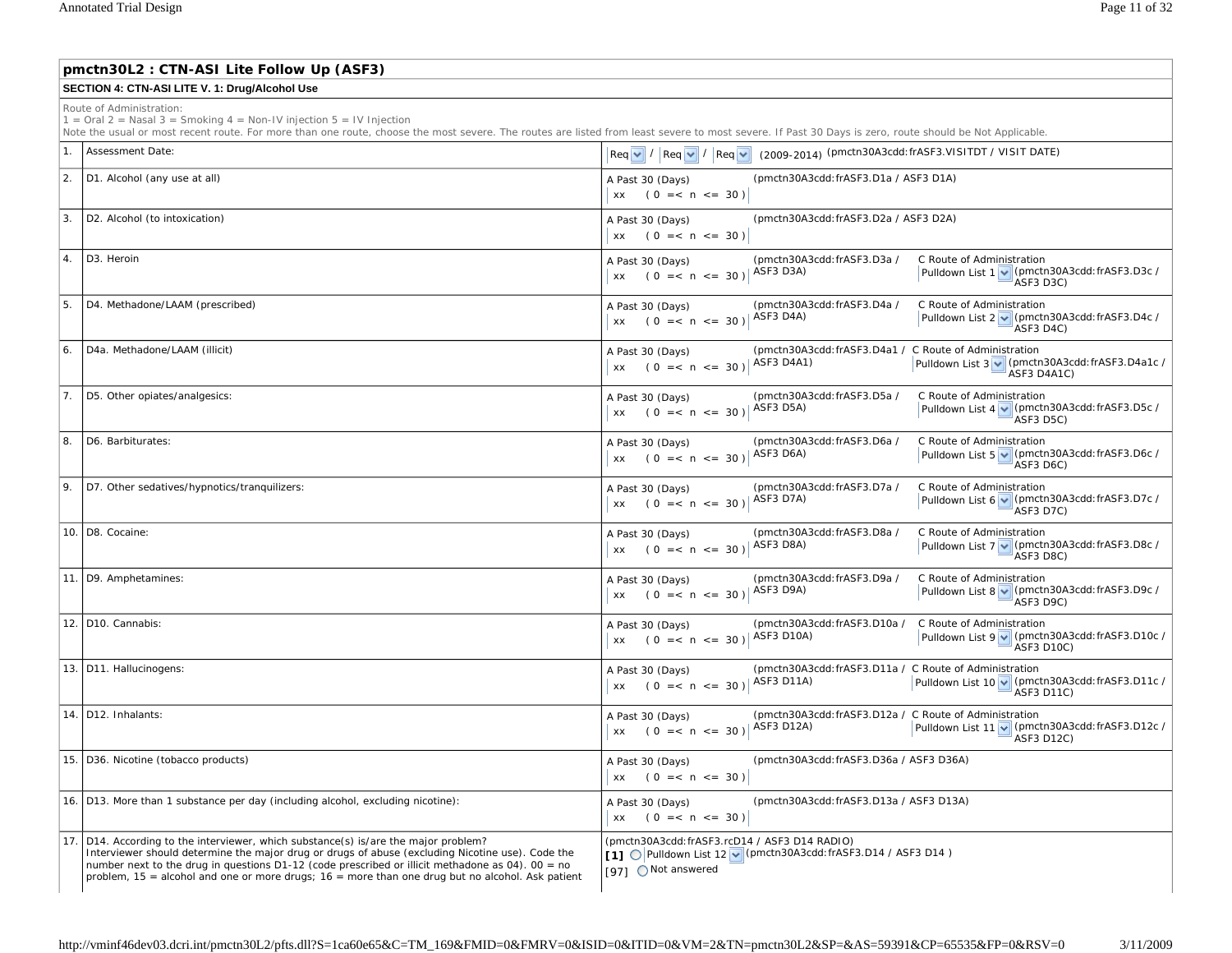|    | pmctn30L2: CTN-ASI Lite Follow Up (ASF3)                                                                                                                                                                                                                                                                                                                                                              |                                                                                                                                                                                                       |  |  |  |
|----|-------------------------------------------------------------------------------------------------------------------------------------------------------------------------------------------------------------------------------------------------------------------------------------------------------------------------------------------------------------------------------------------------------|-------------------------------------------------------------------------------------------------------------------------------------------------------------------------------------------------------|--|--|--|
|    | SECTION 4: CTN-ASI LITE V. 1: Drug/Alcohol Use                                                                                                                                                                                                                                                                                                                                                        |                                                                                                                                                                                                       |  |  |  |
|    | Route of Administration:<br>$1 =$ Oral 2 = Nasal 3 = Smoking 4 = Non-IV injection 5 = IV Injection<br>Note the usual or most recent route. For more than one route, choose the most severe. The routes are listed from least severe to most severe. If Past 30 Days is zero, route should be Not Applicable.                                                                                          |                                                                                                                                                                                                       |  |  |  |
| 1. | Assessment Date:                                                                                                                                                                                                                                                                                                                                                                                      | $\left \text{Req}\left \textbf{v}\right \right /\left \text{Req}\left \textbf{v}\right \right /\left \text{Req}\left \textbf{v}\right \right $ (2009-2014) (pmctn30A3cdd:frASF3.VISITDT / VISIT DATE) |  |  |  |
| 2. | D1. Alcohol (any use at all)                                                                                                                                                                                                                                                                                                                                                                          | (pmctn30A3cdd: frASF3.D1a / ASF3 D1A)<br>A Past 30 (Days)<br>$xx$ (0 = < n < = 30)                                                                                                                    |  |  |  |
| 3. | D2. Alcohol (to intoxication)                                                                                                                                                                                                                                                                                                                                                                         | (pmctn30A3cdd: frASF3.D2a / ASF3 D2A)<br>A Past 30 (Days)<br>$xx$ (0 = < n < = 30)                                                                                                                    |  |  |  |
| 4. | D <sub>3</sub> . Heroin                                                                                                                                                                                                                                                                                                                                                                               | (pmctn30A3cdd: frASF3.D3a /<br>C Route of Administration<br>A Past 30 (Days)<br>Pulldown List 1 v (pmctn30A3cdd: frASF3.D3c /<br>ASF3 D3A)<br>$xx$ (0 = < n < = 30)<br>ASF3 D3C)                      |  |  |  |
| 5. | D4. Methadone/LAAM (prescribed)                                                                                                                                                                                                                                                                                                                                                                       | (pmctn30A3cdd: frASF3.D4a /<br>C Route of Administration<br>A Past 30 (Days)<br>Pulldown List 2 v (pmctn30A3cdd: frASF3.D4c /<br>xx $(0 = < n < = 30)  $ ASF3 D4A)<br>ASF3 D4C)                       |  |  |  |
| 6. | D4a. Methadone/LAAM (illicit)                                                                                                                                                                                                                                                                                                                                                                         | (pmctn30A3cdd: frASF3.D4a1 / C Route of Administration<br>A Past 30 (Days)<br>ASF3 D4A1)<br>Pulldown List 3 v (pmctn30A3cdd: frASF3.D4a1c /<br>$xx$ (0 = < n < = 30)<br>ASF3 D4A1C)                   |  |  |  |
| 7. | D5. Other opiates/analgesics:                                                                                                                                                                                                                                                                                                                                                                         | (pmctn30A3cdd: frASF3.D5a /<br>C Route of Administration<br>A Past 30 (Days)<br>xx (0 =< n <= 30) $ $ ASF3 D5A)<br>Pulldown List 4 v (pmctn30A3cdd: frASF3.D5c /<br>ASF3 D5C)                         |  |  |  |
| 8. | D6. Barbiturates:                                                                                                                                                                                                                                                                                                                                                                                     | (pmctn30A3cdd: frASF3.D6a /<br>C Route of Administration<br>A Past 30 (Days)<br>xx (0 = < n <= 30)   ASF3 D6A)<br>Pulldown List 5 v (pmctn30A3cdd: frASF3.D6c /<br>ASF3 D6C)                          |  |  |  |
| 9. | D7. Other sedatives/hypnotics/tranquilizers:                                                                                                                                                                                                                                                                                                                                                          | (pmctn30A3cdd: frASF3.D7a /<br>C Route of Administration<br>A Past 30 (Days)<br>Pulldown List 6 v (pmctn30A3cdd: frASF3.D7c /<br>xx (0 =< n <= 30) $ $ ASF3 D7A)<br>ASF3 D7C)                         |  |  |  |
|    | 10. D8. Cocaine:                                                                                                                                                                                                                                                                                                                                                                                      | (pmctn30A3cdd: frASF3.D8a /<br>C Route of Administration<br>A Past 30 (Days)<br>xx (0 = < n <= 30)   ASF3 D8A)<br>Pulldown List 7 v (pmctn30A3cdd: frASF3.D8c /<br>ASF3 D8C)                          |  |  |  |
|    | 11. D9. Amphetamines:                                                                                                                                                                                                                                                                                                                                                                                 | (pmctn30A3cdd: frASF3.D9a /<br>C Route of Administration<br>A Past 30 (Days)<br>ASF3 D9A)<br>Pulldown List 8 v (pmctn30A3cdd: frASF3.D9c /<br>$xx$ (0 = < n < = 30)<br>ASF3 D9C)                      |  |  |  |
|    | 12. D10. Cannabis:                                                                                                                                                                                                                                                                                                                                                                                    | (pmctn30A3cdd: frASF3.D10a /<br>C Route of Administration<br>A Past 30 (Days)<br>Pulldown List 9 v (pmctn30A3cdd: frASF3.D10c /<br>$(0 = < n < = 30)$ ASF3 D10A)<br>XX<br>ASF3 D10C)                  |  |  |  |
|    | 13. D11. Hallucinogens:                                                                                                                                                                                                                                                                                                                                                                               | (pmctn30A3cdd: frASF3.D11a / C Route of Administration<br>A Past 30 (Days)<br><b>ASF3 D11A)</b><br>Pulldown List 10 v (pmctn30A3cdd: frASF3.D11c /<br>$(0 = < n < = 30)$<br>XX<br><b>ASF3 D11C)</b>   |  |  |  |
|    | 14. D12. Inhalants:                                                                                                                                                                                                                                                                                                                                                                                   | (pmctn30A3cdd: frASF3.D12a / C Route of Administration<br>A Past 30 (Days)<br>xx $(0 = < n < = 30)  $ ASF3 D12A)<br>Pulldown List 11 v (pmctn30A3cdd: frASF3.D12c /<br>ASF3 D12C)                     |  |  |  |
|    | 15. D36. Nicotine (tobacco products)                                                                                                                                                                                                                                                                                                                                                                  | (pmctn30A3cdd:frASF3.D36a / ASF3 D36A)<br>A Past 30 (Days)<br>$xx$ (0 = < n < = 30)                                                                                                                   |  |  |  |
|    | 16. D13. More than 1 substance per day (including alcohol, excluding nicotine):                                                                                                                                                                                                                                                                                                                       | (pmctn30A3cdd:frASF3.D13a / ASF3 D13A)<br>A Past 30 (Days)<br>$(0 = < n < = 30)$<br>XX                                                                                                                |  |  |  |
|    | 17. D14. According to the interviewer, which substance(s) is/are the major problem?<br>Interviewer should determine the major drug or drugs of abuse (excluding Nicotine use). Code the<br>number next to the drug in questions $D1-12$ (code prescribed or illicit methadone as 04). 00 = no<br>problem, $15$ = alcohol and one or more drugs; $16$ = more than one drug but no alcohol. Ask patient | (pmctn30A3cdd: frASF3.rcD14 / ASF3 D14 RADIO)<br>[1] O Pulldown List 12 v (pmctn30A3cdd: frASF3.D14 / ASF3 D14)<br>[97] Not answered                                                                  |  |  |  |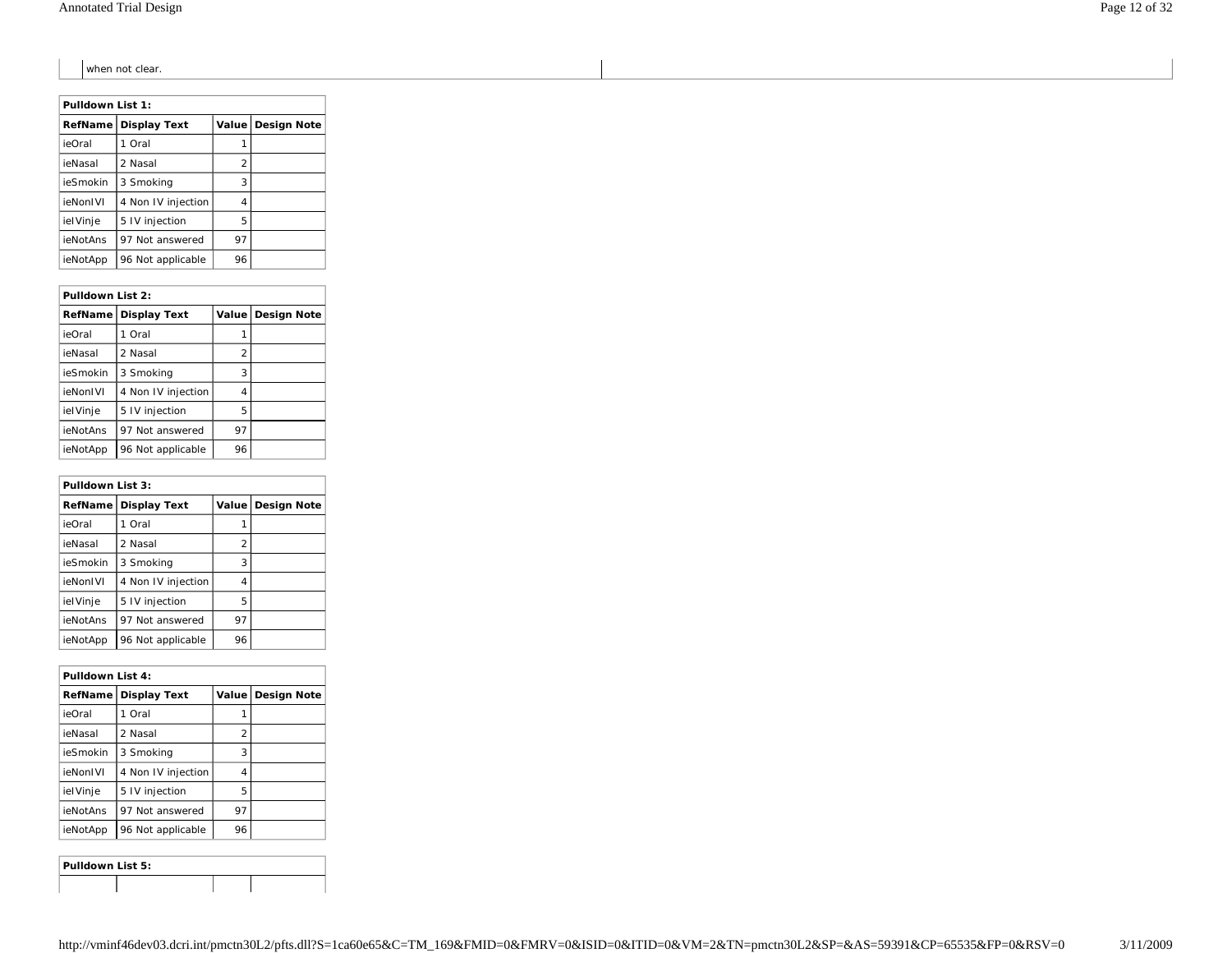when not clear.

| Pulldown List 1: |                     |       |                    |
|------------------|---------------------|-------|--------------------|
| RefName I        | <b>Display Text</b> | Value | <b>Design Note</b> |
| ieOral           | 1 Oral              | 1     |                    |
| ieNasal          | 2 Nasal             | 2     |                    |
| ieSmokin         | 3 Smokina           | 3     |                    |
| ieNonIVI         | 4 Non IV injection  | 4     |                    |
| ielVinje         | 5 IV injection      | 5     |                    |
| ieNotAns         | 97 Not answered     | 97    |                    |
| ieNotApp         | 96 Not applicable   | 96    |                    |

|                | Pulldown List 2:    |    |                     |  |  |
|----------------|---------------------|----|---------------------|--|--|
| <b>RefName</b> | <b>Display Text</b> |    | Value   Design Note |  |  |
| ieOral         | Oral                |    |                     |  |  |
| ieNasal        | 2 Nasal             | 2  |                     |  |  |
| ieSmokin       | 3 Smoking           | 3  |                     |  |  |
| ieNonIVI       | 4 Non IV injection  | 4  |                     |  |  |
| ielVinje       | 5 IV injection      | 5  |                     |  |  |
| ieNotAns       | 97 Not answered     | 97 |                     |  |  |
| ieNotApp       | 96 Not applicable   | 96 |                     |  |  |

| Pulldown List 3: |                     |       |                    |  |
|------------------|---------------------|-------|--------------------|--|
| RefName          | <b>Display Text</b> | Value | <b>Design Note</b> |  |
| ieOral           | Oral                |       |                    |  |
| ieNasal          | 2 Nasal             | 2     |                    |  |
| ieSmokin         | 3 Smokina           | 3     |                    |  |
| ieNonIVI         | 4 Non IV injection  | 4     |                    |  |
| ielVinje         | 5 IV injection      | 5     |                    |  |
| ieNotAns         | 97 Not answered     | 97    |                    |  |
| ieNotApp         | 96 Not applicable   | 96    |                    |  |

| Pulldown List 4: |                     |                          |                    |
|------------------|---------------------|--------------------------|--------------------|
| RefName I        | <b>Display Text</b> | Value                    | <b>Design Note</b> |
| ieOral           | 1 Oral              |                          |                    |
| ieNasal          | 2 Nasal             | $\overline{\mathcal{L}}$ |                    |
| ieSmokin         | 3 Smoking           | 3                        |                    |
| ieNonIVI         | 4 Non IV injection  | 4                        |                    |
| ielVinje         | 5 IV injection      | 5                        |                    |
| ieNotAns         | 97 Not answered     | 97                       |                    |
| ieNotApp         | 96 Not applicable   | 96                       |                    |

| Pulldown List 5: |  |  |
|------------------|--|--|
|                  |  |  |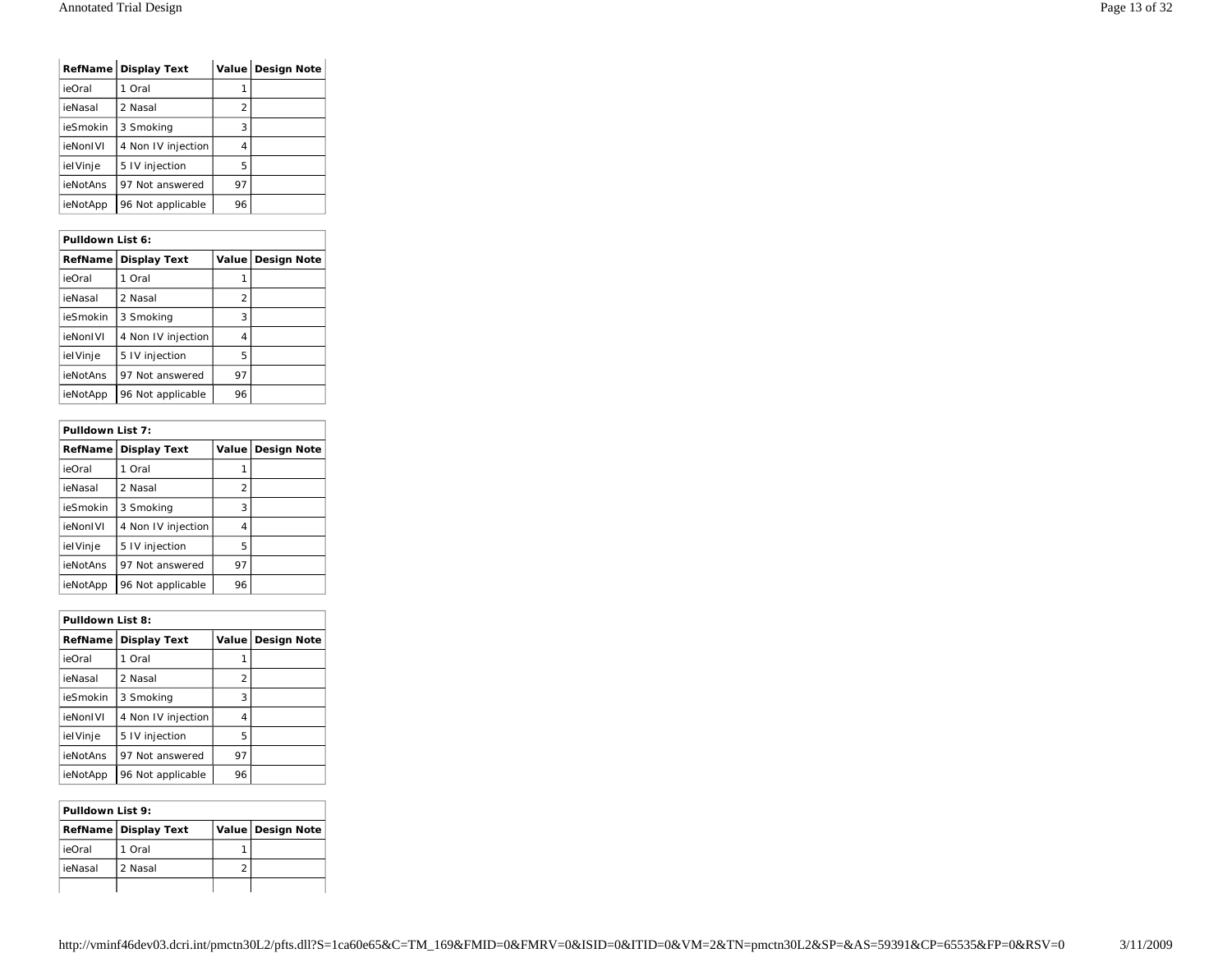|          | RefName Display Text |                          | Value Design Note |
|----------|----------------------|--------------------------|-------------------|
| ieOral   | Oral                 |                          |                   |
| ieNasal  | 2 Nasal              | $\overline{\mathcal{L}}$ |                   |
| ieSmokin | 3 Smoking            | 3                        |                   |
| ieNonIVI | 4 Non IV injection   | 4                        |                   |
| ielVinje | 5 IV injection       | 5                        |                   |
| ieNotAns | 97 Not answered      | 97                       |                   |
| ieNotApp | 96 Not applicable    | 96                       |                   |

| Pulldown List 6: |                     |                |                    |  |
|------------------|---------------------|----------------|--------------------|--|
| <b>RefName</b>   | <b>Display Text</b> | Value          | <b>Design Note</b> |  |
| ieOral           | 1 Oral              |                |                    |  |
| ieNasal          | 2 Nasal             | $\overline{2}$ |                    |  |
| ieSmokin         | 3 Smokina           | 3              |                    |  |
| ieNonIVI         | 4 Non IV injection  | 4              |                    |  |
| ielVinje         | 5 IV injection      | 5              |                    |  |
| ieNotAns         | 97 Not answered     | 97             |                    |  |
| ieNotApp         | 96 Not applicable   | 96             |                    |  |

| Pulldown List 7: |                     |                |                    |  |
|------------------|---------------------|----------------|--------------------|--|
| <b>RefName</b>   | <b>Display Text</b> | Value          | <b>Design Note</b> |  |
| ieOral           | 1 Oral              |                |                    |  |
| ieNasal          | 2 Nasal             | $\overline{2}$ |                    |  |
| ieSmokin         | 3 Smokina           | 3              |                    |  |
| ieNonIVI         | 4 Non IV injection  | 4              |                    |  |
| ielVinje         | 5 IV injection      | 5              |                    |  |
| ieNotAns         | 97 Not answered     | 97             |                    |  |
| ieNotApp         | 96 Not applicable   | 96             |                    |  |

| Pulldown List 8: |                     |         |                    |  |
|------------------|---------------------|---------|--------------------|--|
| RefName          | <b>Display Text</b> | Value l | <b>Design Note</b> |  |
| ieOral           | Oral<br>1           |         |                    |  |
| ieNasal          | 2 Nasal             | 2       |                    |  |
| ieSmokin         | 3 Smokina           | 3       |                    |  |
| ieNonIVI         | 4 Non IV injection  | 4       |                    |  |
| ielVinje         | 5 IV injection      | 5       |                    |  |
| ieNotAns         | 97 Not answered     | 97      |                    |  |
| ieNotApp         | 96 Not applicable   | 96      |                    |  |

| Pulldown List 9: |                      |  |                     |  |
|------------------|----------------------|--|---------------------|--|
|                  | RefName Display Text |  | Value   Design Note |  |
| ieOral           | 1 Oral               |  |                     |  |
| ieNasal          | 2 Nasal              |  |                     |  |
|                  |                      |  |                     |  |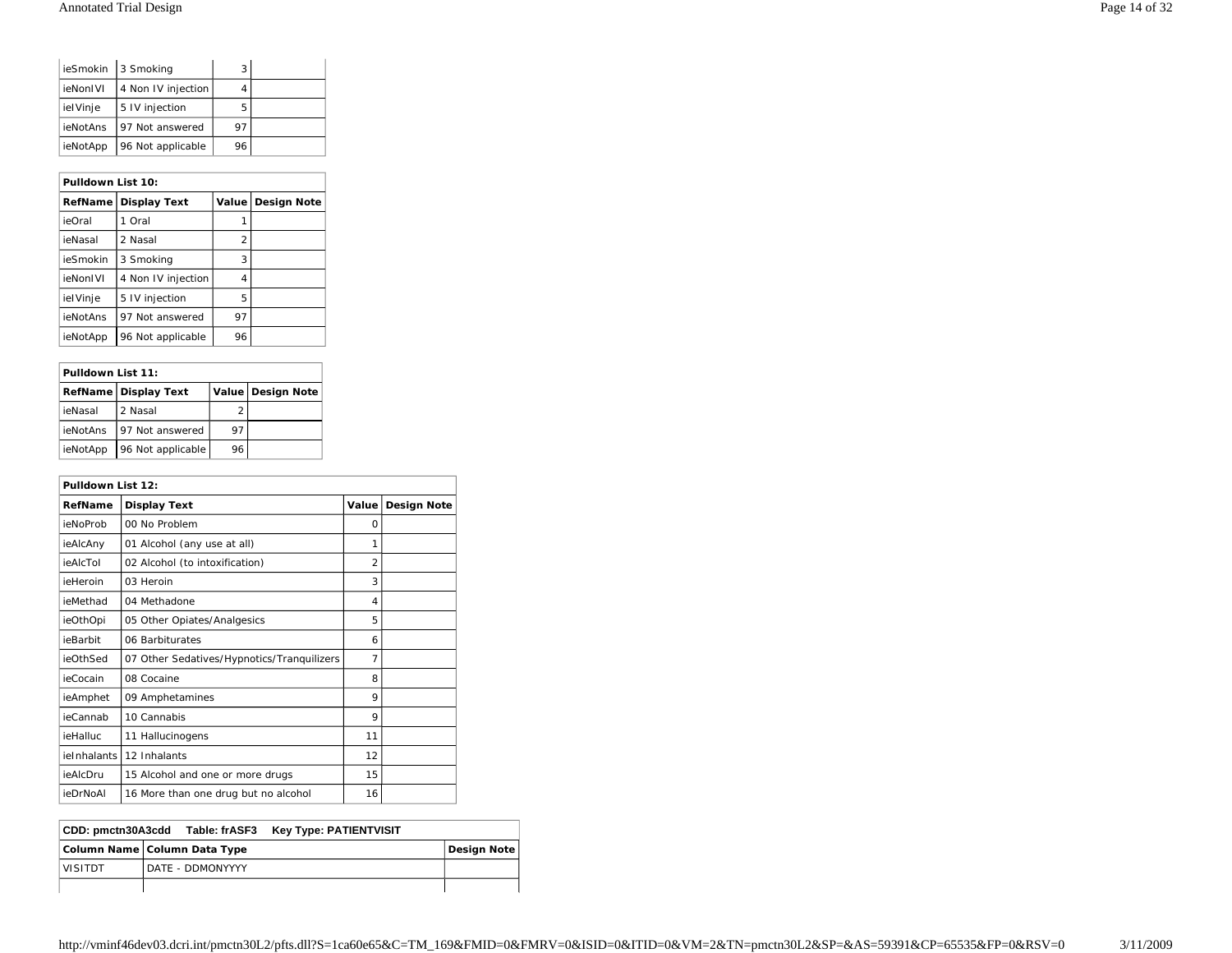|          | ieSmokin 3 Smoking | 3  |  |
|----------|--------------------|----|--|
| ieNonIVI | 4 Non IV injection |    |  |
| ielVinje | 5 IV injection     | 5  |  |
| ieNotAns | 197 Not answered   | 97 |  |
| ieNotApp | 96 Not applicable  | 96 |  |

| Pulldown List 10: |                     |       |                    |  |
|-------------------|---------------------|-------|--------------------|--|
| RefName I         | <b>Display Text</b> | Value | <b>Design Note</b> |  |
| ieOral            | 1 Oral              |       |                    |  |
| ieNasal           | 2 Nasal             | 2     |                    |  |
| ieSmokin          | 3 Smoking           | 3     |                    |  |
| ieNonIVI          | 4 Non IV injection  | 4     |                    |  |
| ielVinje          | 5 IV injection      | 5     |                    |  |
| ieNotAns          | 97 Not answered     | 97    |                    |  |
| ieNotApp          | 96 Not applicable   | 96    |                    |  |

| Pulldown List 11: |                      |    |                     |  |
|-------------------|----------------------|----|---------------------|--|
|                   | RefName Display Text |    | Value   Design Note |  |
| ieNasal           | 2 Nasal              |    |                     |  |
| ieNotAns          | 197 Not answered     | 97 |                     |  |
| ieNotApp          | 96 Not applicable    | 96 |                     |  |

| Pulldown List 12: |                                            |                |                    |
|-------------------|--------------------------------------------|----------------|--------------------|
| RefName           | <b>Display Text</b>                        | Value          | <b>Design Note</b> |
| ieNoProb          | 00 No Problem                              | 0              |                    |
| ieAlcAny          | 01 Alcohol (any use at all)                | 1              |                    |
| ieAlcTol          | 02 Alcohol (to intoxification)             | $\overline{2}$ |                    |
| ieHeroin          | 03 Heroin                                  | 3              |                    |
| ieMethad          | 04 Methadone                               | 4              |                    |
| ieOthOpi          | 05 Other Opiates/Analgesics                | 5              |                    |
| ieBarbit          | 06 Barbiturates                            | 6              |                    |
| ieOthSed          | 07 Other Sedatives/Hypnotics/Tranquilizers | 7              |                    |
| ieCocain          | 08 Cocaine                                 | 8              |                    |
| ieAmphet          | 09 Amphetamines                            | 9              |                    |
| ieCannab          | 10 Cannabis                                | 9              |                    |
| <b>ieHalluc</b>   | 11 Hallucinogens                           | 11             |                    |
| ieInhalants       | 12 Inhalants                               | 12             |                    |
| ieAlcDru          | 15 Alcohol and one or more drugs           | 15             |                    |
| ieDrNoAl          | 16 More than one drug but no alcohol       | 16             |                    |

| CDD: pmctn30A3cdd              | Table: frASF3    | <b>Key Type: PATIENTVISIT</b> |                    |
|--------------------------------|------------------|-------------------------------|--------------------|
| Column Name   Column Data Type |                  |                               | <b>Design Note</b> |
| <b>VISITDT</b>                 | DATE - DDMONYYYY |                               |                    |
|                                |                  |                               |                    |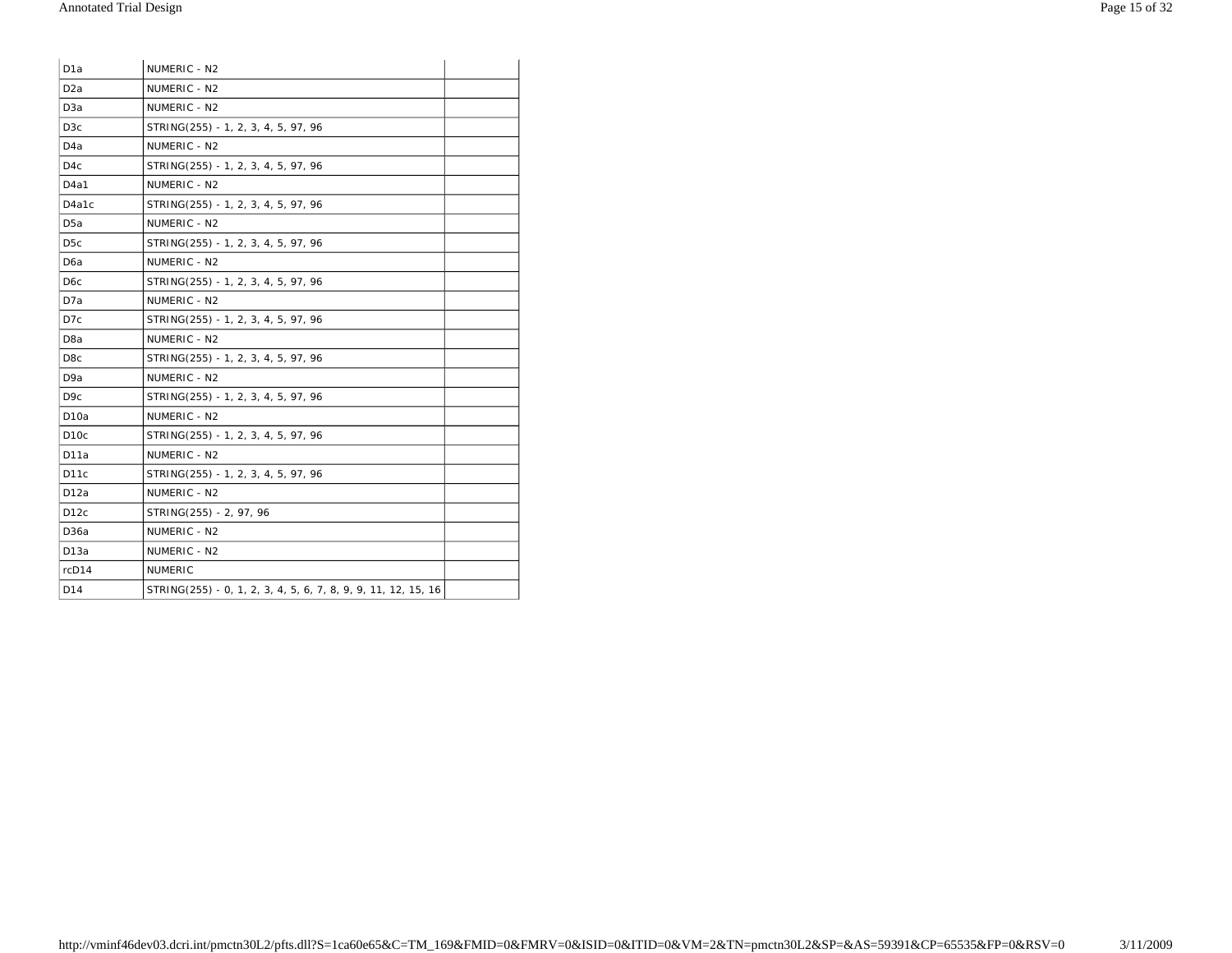| D <sub>1</sub> a  | NUMERIC - N2                                                  |  |
|-------------------|---------------------------------------------------------------|--|
| D <sub>2</sub> a  | NUMERIC - N2                                                  |  |
| D <sub>3</sub> a  | NUMERIC - N2                                                  |  |
| D <sub>3</sub> c  | STRING(255) - 1, 2, 3, 4, 5, 97, 96                           |  |
| D <sub>4</sub> a  | NUMERIC - N2                                                  |  |
| D <sub>4</sub> c  | STRING(255) - 1, 2, 3, 4, 5, 97, 96                           |  |
| D <sub>4</sub> a1 | NUMERIC - N2                                                  |  |
| D4a1c             | STRING(255) - 1, 2, 3, 4, 5, 97, 96                           |  |
| D <sub>5</sub> a  | NUMERIC - N2                                                  |  |
| D <sub>5</sub> c  | STRING(255) - 1, 2, 3, 4, 5, 97, 96                           |  |
| D <sub>6</sub> a  | NUMERIC - N2                                                  |  |
| D <sub>6</sub> c  | STRING(255) - 1, 2, 3, 4, 5, 97, 96                           |  |
| D7a               | NUMERIC - N2                                                  |  |
| D7c               | STRING(255) - 1, 2, 3, 4, 5, 97, 96                           |  |
| D <sub>8</sub> a  | NUMERIC - N2                                                  |  |
| D <sub>8</sub> c  | STRING(255) - 1, 2, 3, 4, 5, 97, 96                           |  |
| D <sub>9</sub> a  | NUMERIC - N2                                                  |  |
| D <sub>9</sub> c  | STRING(255) - 1, 2, 3, 4, 5, 97, 96                           |  |
| D <sub>1</sub> 0a | NUMERIC - N2                                                  |  |
| D <sub>10c</sub>  | STRING(255) - 1, 2, 3, 4, 5, 97, 96                           |  |
| D11a              | NUMERIC - N2                                                  |  |
| D <sub>11</sub> c | STRING(255) - 1, 2, 3, 4, 5, 97, 96                           |  |
| D12a              | NUMERIC - N2                                                  |  |
| D12c              | STRING(255) - 2, 97, 96                                       |  |
| D36a              | NUMERIC - N2                                                  |  |
| D13a              | NUMERIC - N2                                                  |  |
| rcD14             | <b>NUMERIC</b>                                                |  |
| D14               | STRING(255) - 0, 1, 2, 3, 4, 5, 6, 7, 8, 9, 9, 11, 12, 15, 16 |  |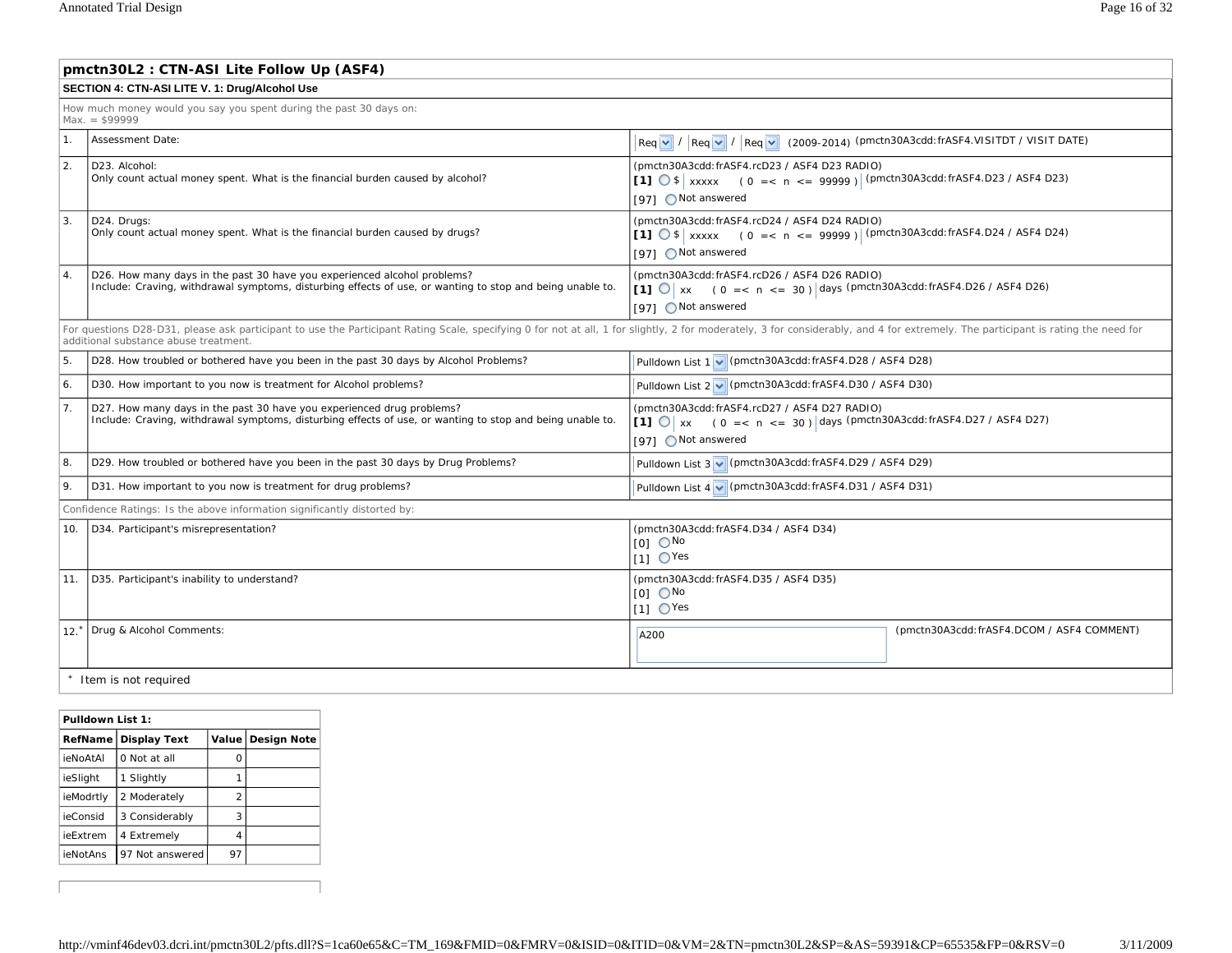|                  | pmctn30L2 : CTN-ASI Lite Follow Up (ASF4)                                                                                                                                                                                                                                                                                                     |                                                                                                                                                                                       |                                           |  |  |  |
|------------------|-----------------------------------------------------------------------------------------------------------------------------------------------------------------------------------------------------------------------------------------------------------------------------------------------------------------------------------------------|---------------------------------------------------------------------------------------------------------------------------------------------------------------------------------------|-------------------------------------------|--|--|--|
|                  | SECTION 4: CTN-ASI LITE V. 1: Drug/Alcohol Use                                                                                                                                                                                                                                                                                                |                                                                                                                                                                                       |                                           |  |  |  |
|                  | How much money would you say you spent during the past 30 days on:<br>$Max. = $999999$                                                                                                                                                                                                                                                        |                                                                                                                                                                                       |                                           |  |  |  |
| 1.               | Assessment Date:                                                                                                                                                                                                                                                                                                                              | $\lceil \text{Req } \lor \text{ } \rceil / \lceil \text{Req } \lor \text{ } \rceil / \lceil \text{Req } \lor \text{ } \rceil$ (2009-2014) (pmctn30A3cdd: frASF4.VISITDT / VISIT DATE) |                                           |  |  |  |
| 2.               | D23. Alcohol:<br>Only count actual money spent. What is the financial burden caused by alcohol?                                                                                                                                                                                                                                               | (pmctn30A3cdd: frASF4.rcD23 / ASF4 D23 RADIO)<br>[1] $\bigcirc$ \$   xxxxx (0 = < n < = 99999)   (pmctn30A3cdd: frASF4.D23 / ASF4 D23)<br>[97] ○ Not answered                         |                                           |  |  |  |
| 3.               | D24. Druas:<br>Only count actual money spent. What is the financial burden caused by drugs?                                                                                                                                                                                                                                                   | (pmctn30A3cdd: frASF4.rcD24 / ASF4 D24 RADIO)<br>[1] $\circ$ \$ xxxxx (0 = < n < = 99999) (pmctn30A3cdd: frASF4.D24 / ASF4 D24)<br>[97] ○ Not answered                                |                                           |  |  |  |
| $\overline{4}$ . | (pmctn30A3cdd: frASF4.rcD26 / ASF4 D26 RADIO)<br>D26. How many days in the past 30 have you experienced alcohol problems?<br>Include: Craving, withdrawal symptoms, disturbing effects of use, or wanting to stop and being unable to.<br>[1] $\bigcirc$ x (0 = < n < = 30) days (pmctn30A3cdd: frASF4.D26 / ASF4 D26)<br>[97] ○ Not answered |                                                                                                                                                                                       |                                           |  |  |  |
|                  | For questions D28-D31, please ask participant to use the Participant Rating Scale, specifying 0 for not at all, 1 for slightly, 2 for moderately, 3 for considerably, and 4 for extremely. The participant is rating the need<br>additional substance abuse treatment.                                                                        |                                                                                                                                                                                       |                                           |  |  |  |
| 5.               | D28. How troubled or bothered have you been in the past 30 days by Alcohol Problems?                                                                                                                                                                                                                                                          | Pulldown List 1 v (pmctn30A3cdd: frASF4.D28 / ASF4 D28)                                                                                                                               |                                           |  |  |  |
| 6.               | D30. How important to you now is treatment for Alcohol problems?                                                                                                                                                                                                                                                                              | Pulldown List 2 v (pmctn30A3cdd: frASF4.D30 / ASF4 D30)                                                                                                                               |                                           |  |  |  |
| 7.               | D27. How many days in the past 30 have you experienced drug problems?<br>Include: Craving, withdrawal symptoms, disturbing effects of use, or wanting to stop and being unable to.                                                                                                                                                            | (pmctn30A3cdd:frASF4.rcD27 / ASF4 D27 RADIO)<br>[1] $\bigcirc$ x (0 = < n < = 30) days (pmctn30A3cdd: frASF4.D27 / ASF4 D27)<br>[97] ○ Not answered                                   |                                           |  |  |  |
| 8.               | D29. How troubled or bothered have you been in the past 30 days by Drug Problems?                                                                                                                                                                                                                                                             | Pulldown List 3 v (pmctn30A3cdd: frASF4.D29 / ASF4 D29)                                                                                                                               |                                           |  |  |  |
| 9.               | D31. How important to you now is treatment for drug problems?                                                                                                                                                                                                                                                                                 | Pulldown List 4 v (pmctn30A3cdd: frASF4.D31 / ASF4 D31)                                                                                                                               |                                           |  |  |  |
|                  | Confidence Ratings: Is the above information significantly distorted by:                                                                                                                                                                                                                                                                      |                                                                                                                                                                                       |                                           |  |  |  |
| 10.              | D34. Participant's misrepresentation?<br>(pmctn30A3cdd: frASF4.D34 / ASF4 D34)<br>$[0]$ $\bigcirc$ No<br>$11 \text{ O}$ Yes                                                                                                                                                                                                                   |                                                                                                                                                                                       |                                           |  |  |  |
| 11.              | D35. Participant's inability to understand?                                                                                                                                                                                                                                                                                                   | (pmctn30A3cdd: frASF4.D35 / ASF4 D35)<br>$[0]$ $\bigcirc$ No<br>$[1]$ $\bigcirc$ Yes                                                                                                  |                                           |  |  |  |
| 12.              | Drug & Alcohol Comments:                                                                                                                                                                                                                                                                                                                      | A200                                                                                                                                                                                  | (pmctn30A3cdd:frASF4.DCOM / ASF4 COMMENT) |  |  |  |
|                  | Item is not required                                                                                                                                                                                                                                                                                                                          |                                                                                                                                                                                       |                                           |  |  |  |

| Pulldown List 1: |                     |                |                     |
|------------------|---------------------|----------------|---------------------|
| RefName          | <b>Display Text</b> |                | Value   Design Note |
| ieNoAtAl         | 0 Not at all        |                |                     |
| ieSlight         | Slightly            |                |                     |
| ieModrtly        | 2 Moderately        | $\mathfrak{p}$ |                     |
| ieConsid         | 3 Considerably      | 3              |                     |
| ieFxtrem         | 4 Extremely         | 4              |                     |
| ieNotAns         | 97 Not answered     | 97             |                     |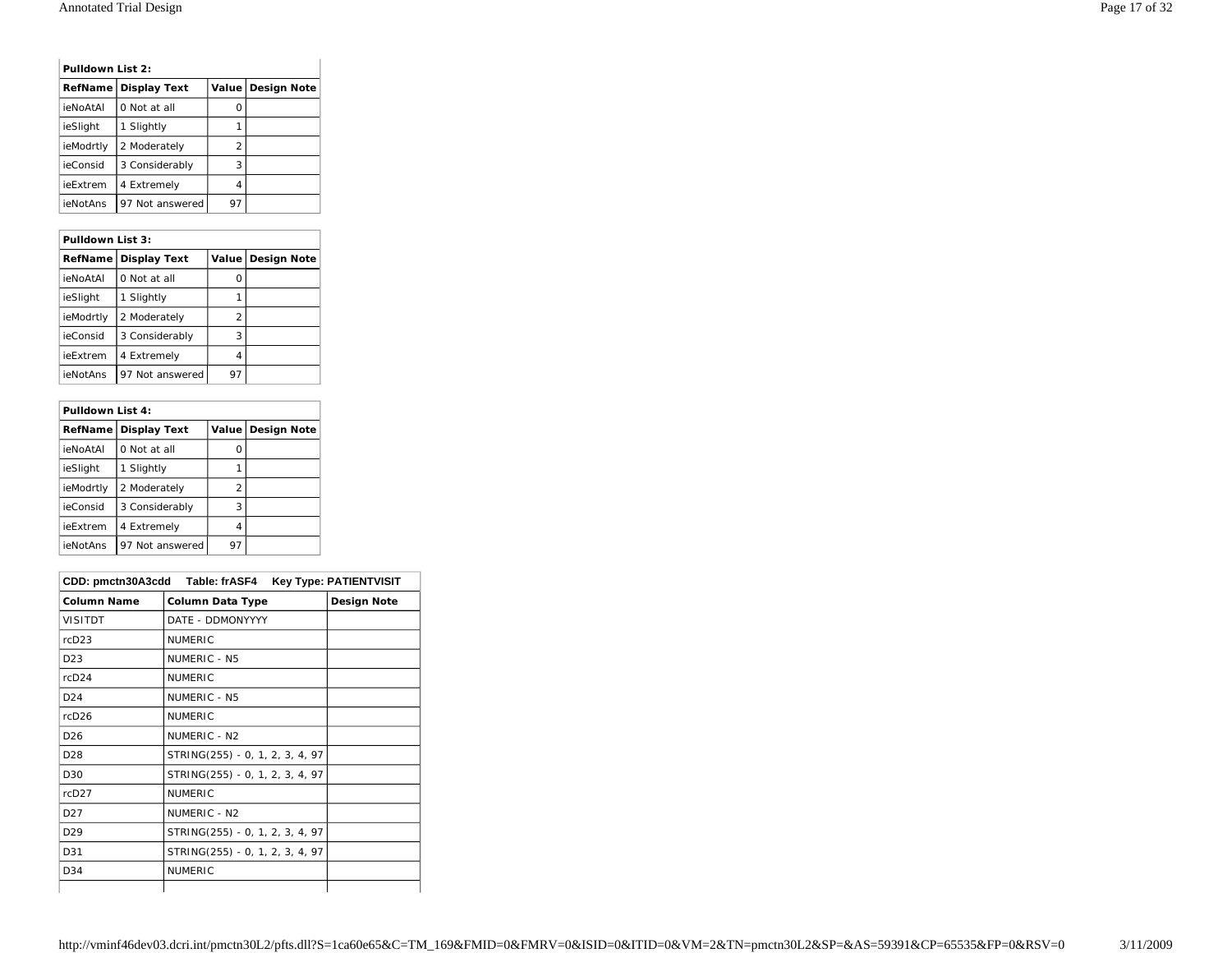|           | Pulldown List 2:    |                |                     |
|-----------|---------------------|----------------|---------------------|
| RefName   | <b>Display Text</b> |                | Value   Design Note |
| ieNoAtAl  | 0 Not at all        | O              |                     |
| ieSlight  | Slightly<br>1.      |                |                     |
| ieModrtly | 2 Moderately        | $\mathfrak{p}$ |                     |
| ieConsid  | 3 Considerably      | 3              |                     |
| ieFxtrem  | 4 Extremely         | 4              |                     |
| ieNotAns  | 97 Not answered     | 97             |                     |

# **Pulldown List 3: RefName Display Text Value Design Note**  $i$ eNoAtAl 0 Not at all  $\begin{bmatrix} 0 & 0 \\ 0 & 0 \end{bmatrix}$  0 ieSlight 1 Slightly 1 ieModrtly  $\begin{vmatrix} 2 \text{ Modern} \\ 2 \text{$  $\vert$ ieConsid  $\vert$  3 Considerably  $\vert$  3 ieExtrem  $\begin{vmatrix} 4 & \text{Extremely} \\ 4 & \text{Extremely} \end{vmatrix}$  4

ieNotAns 97 Not answered 97

| Pulldown List 4: |                     |                |                     |
|------------------|---------------------|----------------|---------------------|
| <b>RefName</b>   | <b>Display Text</b> |                | Value   Design Note |
| ieNoAtAl         | 0 Not at all        | Ω              |                     |
| ieSlight         | Slightly<br>1       |                |                     |
| ieModrtly        | 2 Moderately        | $\mathfrak{p}$ |                     |
| ieConsid         | 3 Considerably      | 3              |                     |
| ieExtrem         | 4 Extremely         | 4              |                     |
| ieNotAns         | 97 Not answered     | 97             |                     |

|                    | CDD: pmctn30A3cdd Table: frASF4 | <b>Key Type: PATIENTVISIT</b> |
|--------------------|---------------------------------|-------------------------------|
| <b>Column Name</b> | <b>Column Data Type</b>         | Design Note                   |
| <b>VISITDT</b>     | DATE - DDMONYYYY                |                               |
| rcD23              | <b>NUMERIC</b>                  |                               |
| D <sub>23</sub>    | NUMERIC - N5                    |                               |
| rcD24              | <b>NUMERIC</b>                  |                               |
| D <sub>24</sub>    | NUMERIC - N5                    |                               |
| rcD26              | <b>NUMERIC</b>                  |                               |
| D <sub>26</sub>    | NUMERIC - N2                    |                               |
| D <sub>28</sub>    | STRING(255) - 0, 1, 2, 3, 4, 97 |                               |
| D30                | STRING(255) - 0, 1, 2, 3, 4, 97 |                               |
| rcD27              | <b>NUMERIC</b>                  |                               |
| D <sub>27</sub>    | NUMERIC - N2                    |                               |
| D <sub>29</sub>    | STRING(255) - 0, 1, 2, 3, 4, 97 |                               |
| D31                | STRING(255) - 0, 1, 2, 3, 4, 97 |                               |
| D <sub>34</sub>    | <b>NUMERIC</b>                  |                               |
|                    |                                 |                               |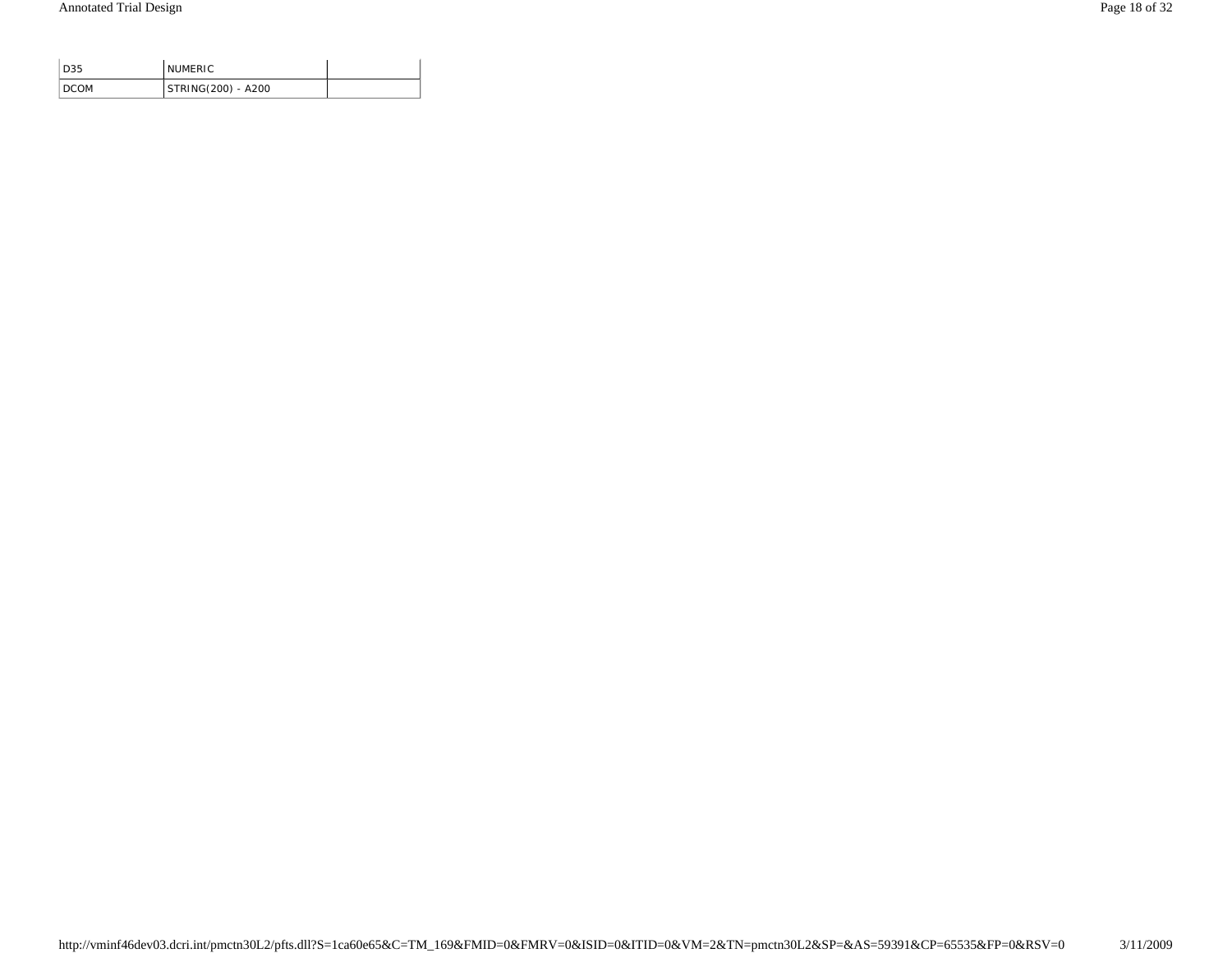| D35    | <b>NUMERIC</b>     |  |
|--------|--------------------|--|
| I DCOM | STRING(200) - A200 |  |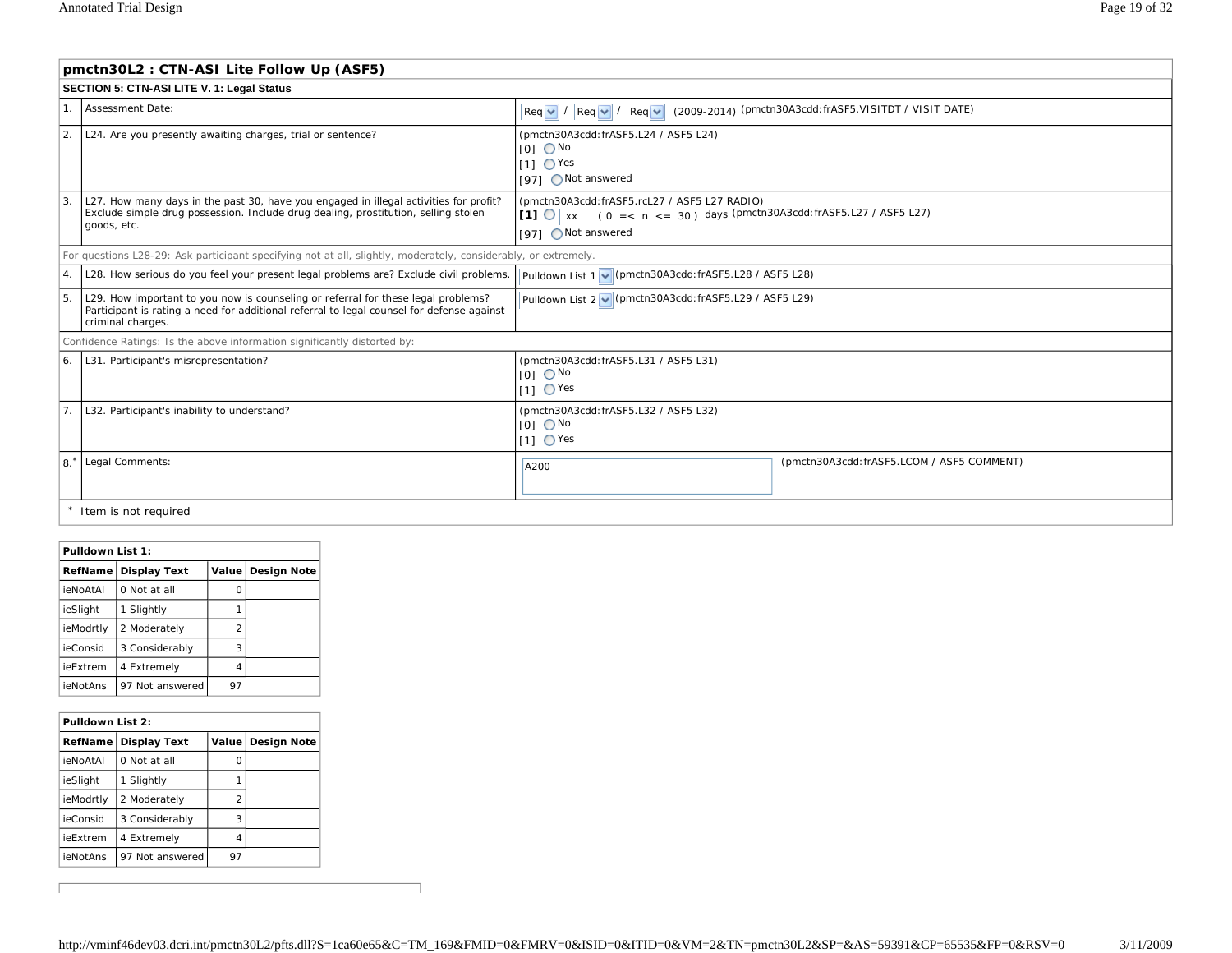|                | pmctn30L2: CTN-ASI Lite Follow Up (ASF5)                                                                                                                                                            |                                                                                                                                                      |                                                                                                                                                           |  |  |  |  |
|----------------|-----------------------------------------------------------------------------------------------------------------------------------------------------------------------------------------------------|------------------------------------------------------------------------------------------------------------------------------------------------------|-----------------------------------------------------------------------------------------------------------------------------------------------------------|--|--|--|--|
|                | SECTION 5: CTN-ASI LITE V. 1: Legal Status                                                                                                                                                          |                                                                                                                                                      |                                                                                                                                                           |  |  |  |  |
|                | 1. Assessment Date:                                                                                                                                                                                 |                                                                                                                                                      | $\left \text{Req } \vee \right  / \left \text{Req } \vee \right  / \left \text{Req } \vee \right $ (2009-2014) (pmctn30A3cdd:frASF5.VISITDT / VISIT DATE) |  |  |  |  |
| 2.             | L24. Are you presently awaiting charges, trial or sentence?                                                                                                                                         | (pmctn30A3cdd: frASF5.L24 / ASF5 L24)<br>$[O]$ $\bigcirc$ No<br>$11 \text{ O}$ Yes<br>[97] ○ Not answered                                            |                                                                                                                                                           |  |  |  |  |
| $\mathbf{3}$   | L27. How many days in the past 30, have you engaged in illegal activities for profit?<br>Exclude simple drug possession. Include drug dealing, prostitution, selling stolen<br>goods, etc.          | (pmctn30A3cdd: frASF5.rcL27 / ASF5 L27 RADIO)<br>[1] $\bigcirc$ x (0 = < n < = 30) days (pmctn30A3cdd: frASF5.L27 / ASF5 L27)<br>[97] O Not answered |                                                                                                                                                           |  |  |  |  |
|                | For questions L28-29: Ask participant specifying not at all, slightly, moderately, considerably, or extremely.                                                                                      |                                                                                                                                                      |                                                                                                                                                           |  |  |  |  |
| 4.             | L28. How serious do you feel your present legal problems are? Exclude civil problems.                                                                                                               | Pulldown List 1 v (pmctn30A3cdd: frASF5.L28 / ASF5 L28)                                                                                              |                                                                                                                                                           |  |  |  |  |
| 5.             | L29. How important to you now is counseling or referral for these legal problems?<br>Participant is rating a need for additional referral to legal counsel for defense against<br>criminal charges. | Pulldown List 2 v (pmctn30A3cdd: frASF5.L29 / ASF5 L29)                                                                                              |                                                                                                                                                           |  |  |  |  |
|                | Confidence Ratings: Is the above information significantly distorted by:                                                                                                                            |                                                                                                                                                      |                                                                                                                                                           |  |  |  |  |
| 6.             | L31. Participant's misrepresentation?<br>(pmctn30A3cdd: frASF5.L31 / ASF5 L31)<br>$IOI$ $ONo$<br>$11 \text{ O}$ Yes                                                                                 |                                                                                                                                                      |                                                                                                                                                           |  |  |  |  |
| 7 <sub>1</sub> | L32. Participant's inability to understand?                                                                                                                                                         | (pmctn30A3cdd: frASF5.L32 / ASF5 L32)<br>$[0]$ $\bigcirc$ No<br>$[1]$ $\bigcirc$ Yes                                                                 |                                                                                                                                                           |  |  |  |  |
| 8.             | Legal Comments:                                                                                                                                                                                     | A200                                                                                                                                                 | (pmctn30A3cdd: frASF5.LCOM / ASF5 COMMENT)                                                                                                                |  |  |  |  |
|                | Item is not required                                                                                                                                                                                |                                                                                                                                                      |                                                                                                                                                           |  |  |  |  |

#### **Pulldown List 1:**

 $\sqrt{ }$ 

|  |                 | RefName   Display Text | <b>Value</b> | <b>Design Note</b> |
|--|-----------------|------------------------|--------------|--------------------|
|  | <b>ieNoAtAl</b> | 0 Not at all           | Ω            |                    |
|  | ieSlight        | Slightly               |              |                    |
|  | ieModrtly       | 2 Moderately           | 2            |                    |
|  | ieConsid        | 3 Considerably         | 3            |                    |
|  | ieExtrem        | 4 Extremely            | 4            |                    |
|  | ieNotAns        | 97 Not answered        | 97           |                    |

|           | Pulldown List 2:    |    |                     |
|-----------|---------------------|----|---------------------|
| RefName   | <b>Display Text</b> |    | Value   Design Note |
| ieNoAtAl  | 0 Not at all        | Ω  |                     |
| ieSlight  | 1 Slightly          |    |                     |
| ieModrtly | 2 Moderately        | 2  |                     |
| ieConsid  | 3 Considerably      | 3  |                     |
| ieExtrem  | 4 Extremely         | 4  |                     |
| ieNotAns  | 97 Not answered     | 97 |                     |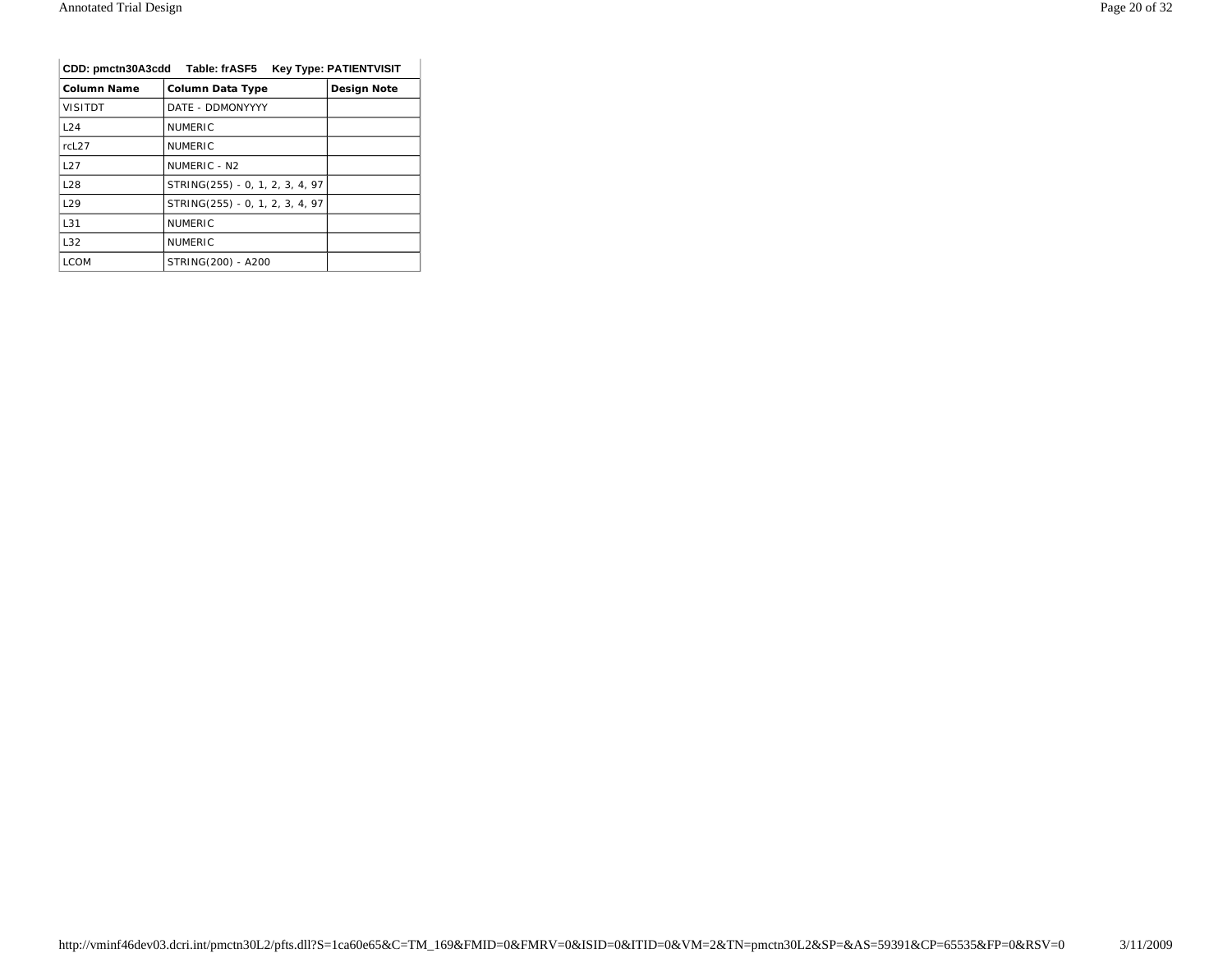| CDD: pmctn30A3cdd Table: frASF5<br><b>Key Type: PATIENTVISIT</b> |                                 |                    |
|------------------------------------------------------------------|---------------------------------|--------------------|
| Column Name                                                      | <b>Column Data Type</b>         | <b>Design Note</b> |
| <b>VISITDT</b>                                                   | DATE - DDMONYYYY                |                    |
| L24                                                              | <b>NUMERIC</b>                  |                    |
| rcL <sub>27</sub>                                                | <b>NUMERIC</b>                  |                    |
| L27                                                              | NUMERIC - N <sub>2</sub>        |                    |
| <b>L28</b>                                                       | STRING(255) - 0, 1, 2, 3, 4, 97 |                    |
| 129                                                              | STRING(255) - 0, 1, 2, 3, 4, 97 |                    |
| L31                                                              | <b>NUMERIC</b>                  |                    |
| L32                                                              | <b>NUMERIC</b>                  |                    |
| <b>LCOM</b>                                                      | STRING(200) - A200              |                    |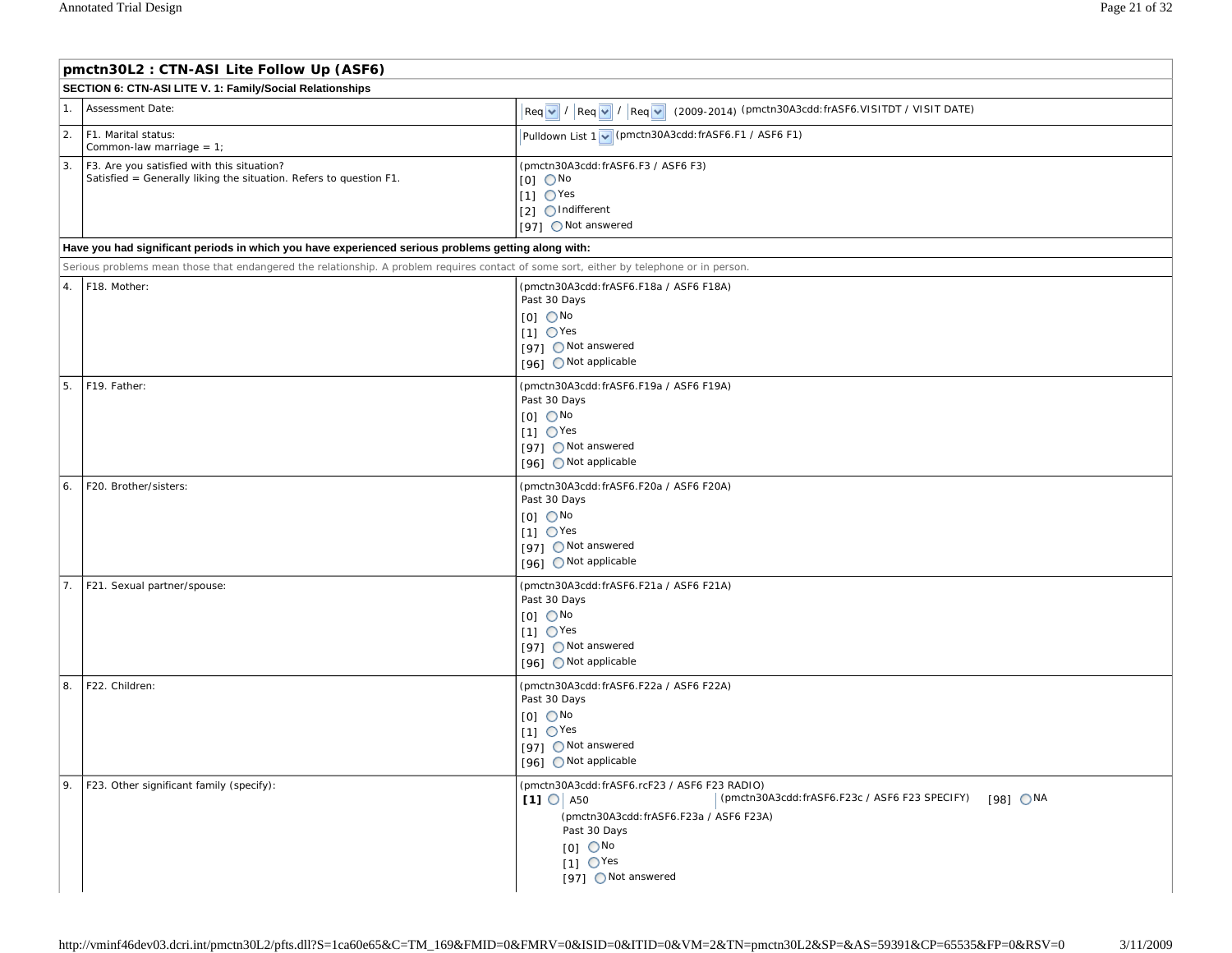| pmctn30L2: CTN-ASI Lite Follow Up (ASF6)                                                                               |                                                                                                                                                                                                                                                 |                                                                                                                                                                                                                                          |  |  |  |
|------------------------------------------------------------------------------------------------------------------------|-------------------------------------------------------------------------------------------------------------------------------------------------------------------------------------------------------------------------------------------------|------------------------------------------------------------------------------------------------------------------------------------------------------------------------------------------------------------------------------------------|--|--|--|
| SECTION 6: CTN-ASI LITE V. 1: Family/Social Relationships                                                              |                                                                                                                                                                                                                                                 |                                                                                                                                                                                                                                          |  |  |  |
| 1.<br>Assessment Date:                                                                                                 |                                                                                                                                                                                                                                                 | $\lceil \text{Req } \lor \rceil / \lceil \text{Req } \lor \rceil / \lceil \text{Req } \lor \rceil$ (2009-2014) (pmctn30A3cdd:frASF6.VISITDT / VISIT DATE)                                                                                |  |  |  |
| $\overline{2}$ .<br>F1. Marital status:<br>Common-law marriage = $1$ ;                                                 |                                                                                                                                                                                                                                                 | Pulldown List 1 v (pmctn30A3cdd: frASF6.F1 / ASF6 F1)                                                                                                                                                                                    |  |  |  |
| 3.<br>F3. Are you satisfied with this situation?<br>Satisfied = Generally liking the situation. Refers to question F1. |                                                                                                                                                                                                                                                 | (pmctn30A3cdd: frASF6.F3 / ASF6 F3)<br>$[0]$ $\bigcirc$ No<br>$[1]$ $\bigcirc$ Yes<br>[2] OIndifferent<br>[97] ○ Not answered                                                                                                            |  |  |  |
|                                                                                                                        | Have you had significant periods in which you have experienced serious problems getting along with:<br>Serious problems mean those that endangered the relationship. A problem requires contact of some sort, either by telephone or in person. |                                                                                                                                                                                                                                          |  |  |  |
| 4.<br>F18. Mother:                                                                                                     |                                                                                                                                                                                                                                                 | (pmctn30A3cdd: frASF6.F18a / ASF6 F18A)<br>Past 30 Days<br>$[0]$ $\bigcirc$ No<br>$[1]$ $\bigcirc$ Yes<br>[97] ONot answered<br>[96] ONot applicable                                                                                     |  |  |  |
| 5.<br>F19. Father:                                                                                                     |                                                                                                                                                                                                                                                 | (pmctn30A3cdd: frASF6.F19a / ASF6 F19A)<br>Past 30 Days<br>$[0]$ $\bigcirc$ No<br>$[1]$ $\bigcirc$ Yes<br>[97] ○ Not answered<br>[96] ONot applicable                                                                                    |  |  |  |
| F20. Brother/sisters:<br>6.                                                                                            |                                                                                                                                                                                                                                                 | (pmctn30A3cdd: frASF6.F20a / ASF6 F20A)<br>Past 30 Days<br>$[0]$ $\bigcirc$ No<br>$[1]$ $\bigcirc$ Yes<br>[97] ○ Not answered<br>[96] O Not applicable                                                                                   |  |  |  |
| 7.<br>F21. Sexual partner/spouse:                                                                                      |                                                                                                                                                                                                                                                 | (pmctn30A3cdd: frASF6.F21a / ASF6 F21A)<br>Past 30 Days<br>$[0]$ $\bigcirc$ No<br>$[1]$ $\bigcirc$ Yes<br>[97] ONot answered<br>[96] ○ Not applicable                                                                                    |  |  |  |
| 8.<br>F22. Children:                                                                                                   |                                                                                                                                                                                                                                                 | (pmctn30A3cdd: frASF6.F22a / ASF6 F22A)<br>Past 30 Days<br>$[0]$ $\bigcirc$ No<br>$[1]$ $\bigcirc$ Yes<br>[97] ○ Not answered<br>[96] Not applicable                                                                                     |  |  |  |
| 9.<br>F23. Other significant family (specify):                                                                         |                                                                                                                                                                                                                                                 | (pmctn30A3cdd:frASF6.rcF23 / ASF6 F23 RADIO)<br>(pmctn30A3cdd: frASF6.F23c / ASF6 F23 SPECIFY) [981 ONA<br>(pmctn30A3cdd: frASF6.F23a / ASF6 F23A)<br>Past 30 Days<br>$[0]$ $\bigcirc$ No<br>$[1]$ $\bigcirc$ Yes<br>[97] ○ Not answered |  |  |  |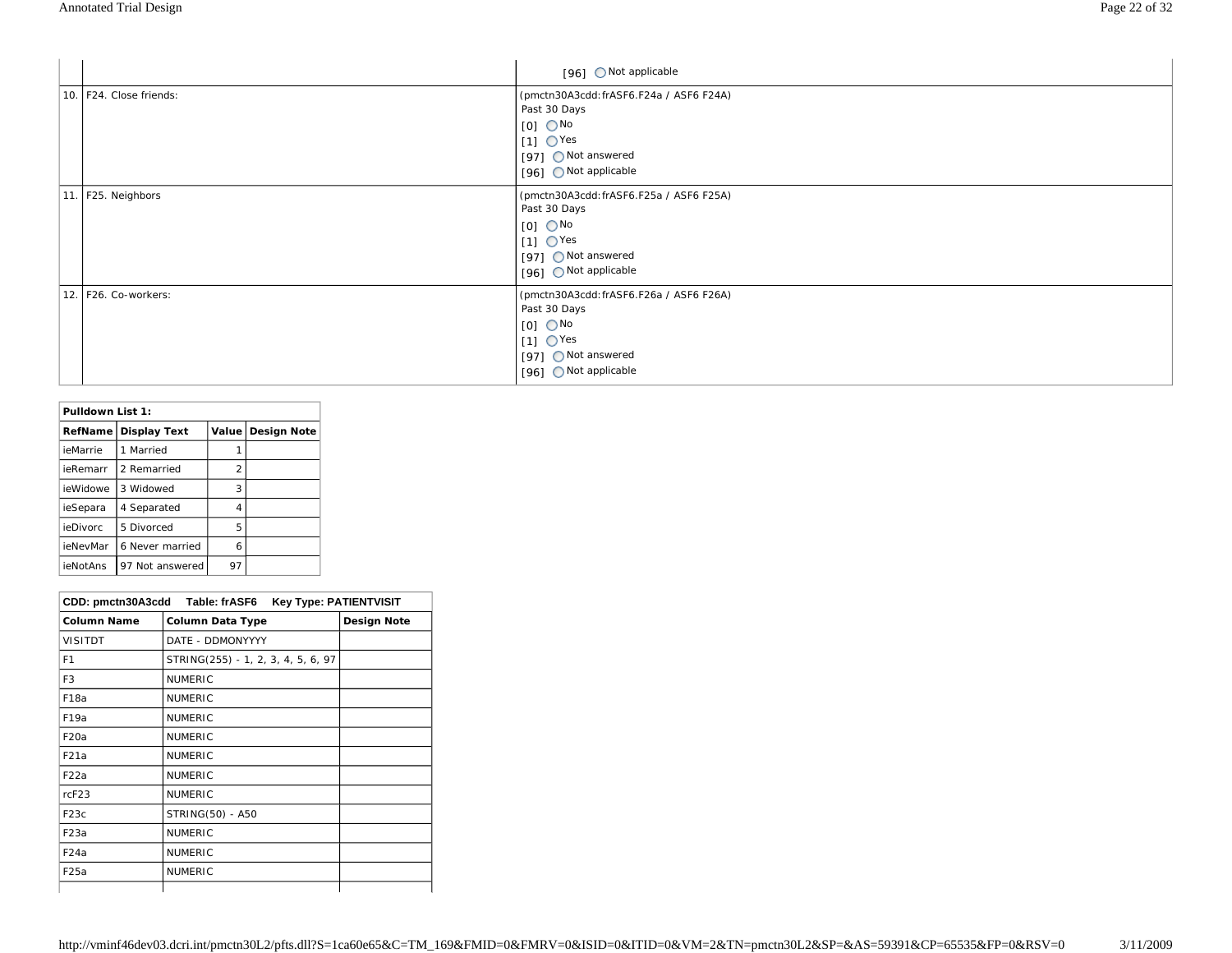|                         | [96] Not applicable                                                                                                                                  |
|-------------------------|------------------------------------------------------------------------------------------------------------------------------------------------------|
| 10. F24. Close friends: | (pmctn30A3cdd: frASF6.F24a / ASF6 F24A)<br>Past 30 Days<br>$[0]$ $\bigcirc$ No<br>$[1]$ OYes<br>[97] ONot answered<br>[96] Not applicable            |
| 11. F25. Neighbors      | (pmctn30A3cdd: frASF6.F25a / ASF6 F25A)<br>Past 30 Days<br>$[1]$ OYes<br>[97] Not answered<br>[96] Not applicable                                    |
| 12. F26. Co-workers:    | (pmctn30A3cdd: frASF6.F26a / ASF6 F26A)<br>Past 30 Days<br>$[O]$ $\bigcirc$ No<br>$[1]$ $\bigcirc$ Yes<br>[97] ONot answered<br>[96] ONot applicable |

| Pulldown List 1: |                     |         |                    |
|------------------|---------------------|---------|--------------------|
| RefName          | <b>Display Text</b> | Value l | <b>Design Note</b> |
| ieMarrie         | Married             |         |                    |
| ieRemarr         | 2 Remarried         | 2       |                    |
| ieWidowe         | 3 Widowed           | 3       |                    |
| ieSepara         | 4 Separated         | 4       |                    |
| ieDivorc         | 5 Divorced          | 5       |                    |
| ieNevMar         | 6 Never married     | 6       |                    |
| ieNotAns         | 97 Not answered     | 97      |                    |

| CDD: pmctn30A3cdd Table: frASF6<br><b>Key Type: PATIENTVISIT</b> |                                    |             |
|------------------------------------------------------------------|------------------------------------|-------------|
| <b>Column Name</b>                                               | Column Data Type                   | Design Note |
| <b>VISITDT</b>                                                   | DATE - DDMONYYYY                   |             |
| F <sub>1</sub>                                                   | STRING(255) - 1, 2, 3, 4, 5, 6, 97 |             |
| F3                                                               | <b>NUMERIC</b>                     |             |
| F <sub>18a</sub>                                                 | <b>NUMERIC</b>                     |             |
| F <sub>19a</sub>                                                 | <b>NUMERIC</b>                     |             |
| F <sub>20</sub> a                                                | <b>NUMERIC</b>                     |             |
| F21a                                                             | <b>NUMERIC</b>                     |             |
| F22a                                                             | <b>NUMERIC</b>                     |             |
| rcF23                                                            | <b>NUMERIC</b>                     |             |
| F <sub>23</sub> c                                                | STRING(50) - A50                   |             |
| F <sub>23</sub> a                                                | <b>NUMERIC</b>                     |             |
| F <sub>24</sub> a                                                | <b>NUMERIC</b>                     |             |
| F25a                                                             | <b>NUMERIC</b>                     |             |
|                                                                  |                                    |             |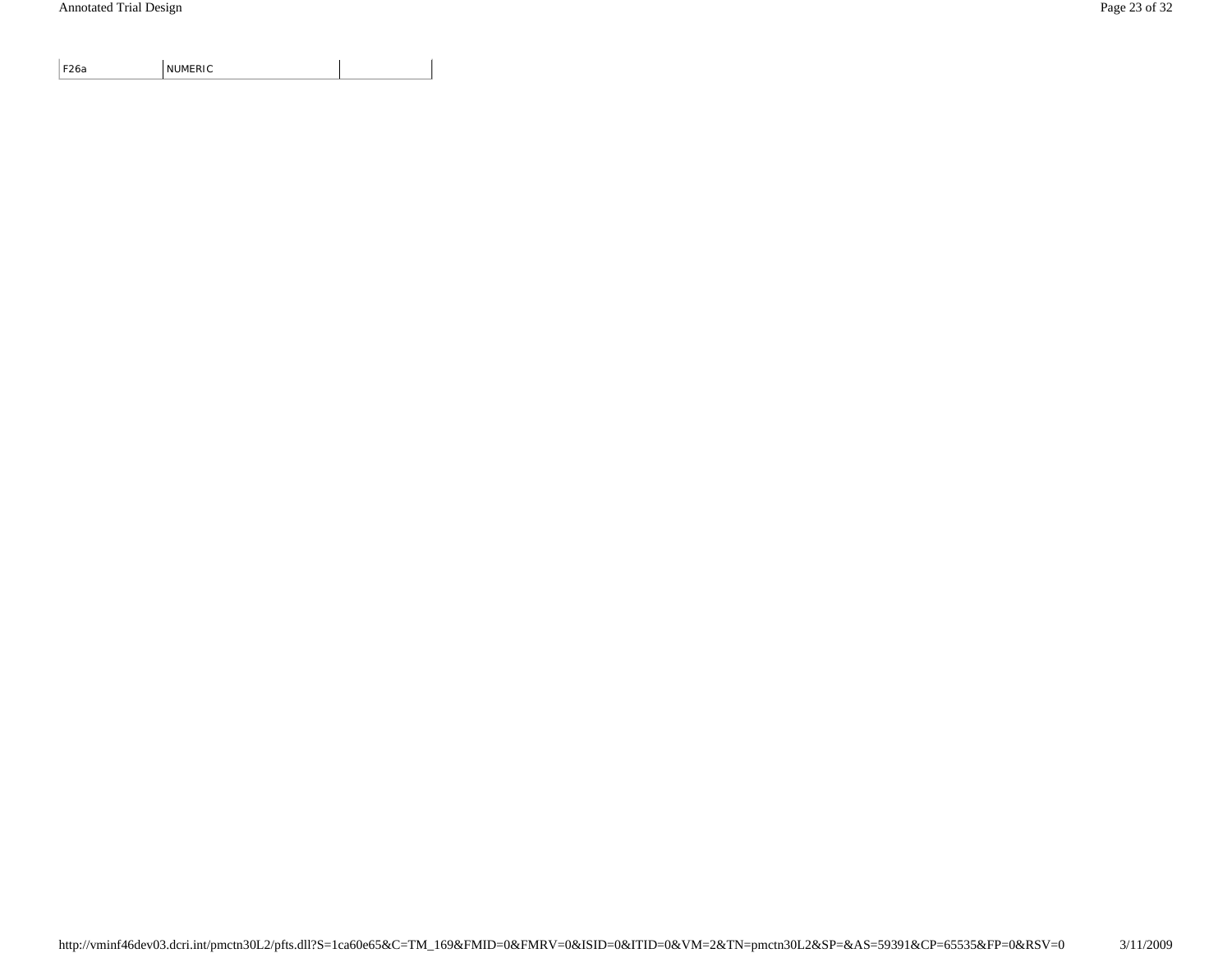F26a NUMERIC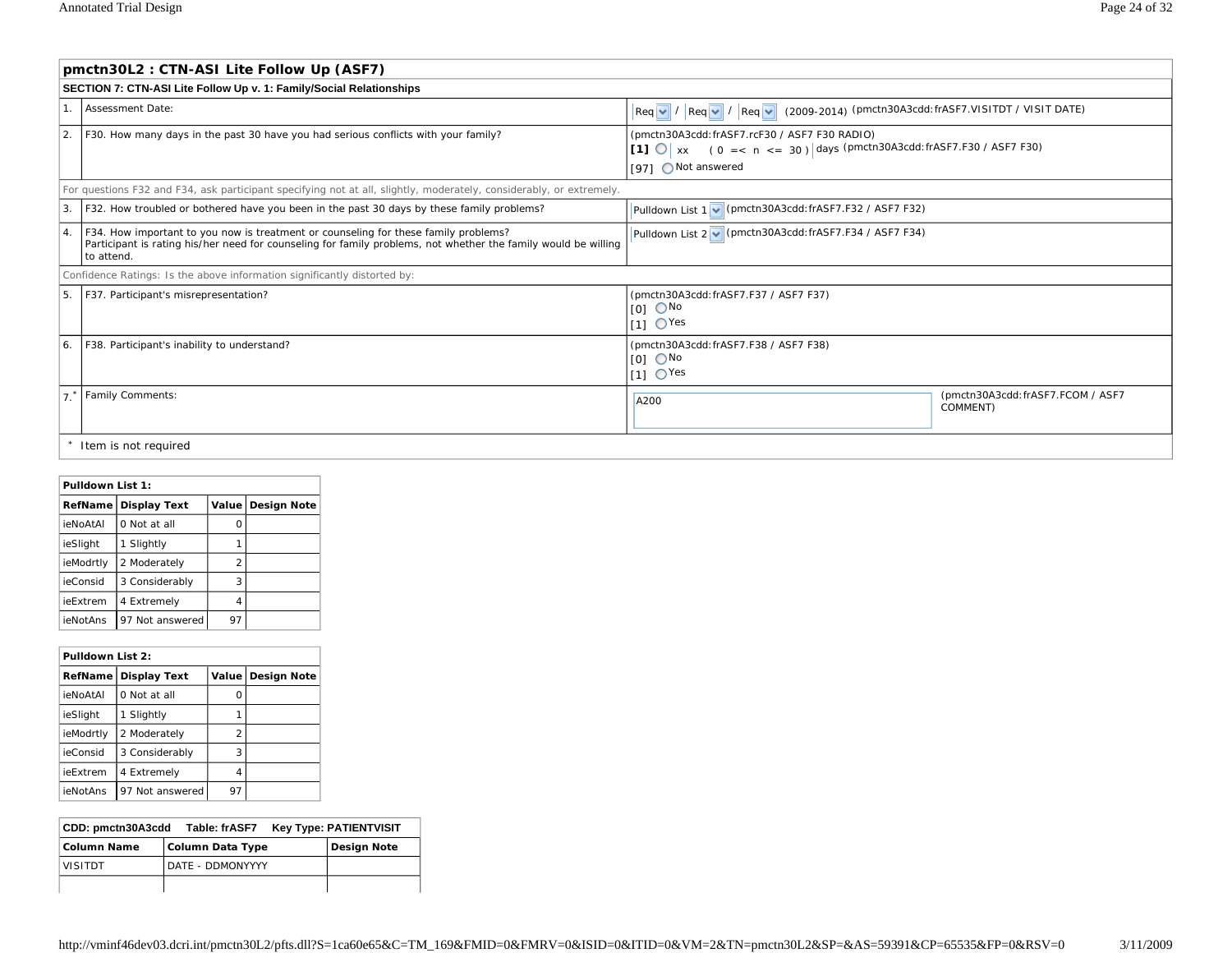|    | pmctn30L2 : CTN-ASI Lite Follow Up (ASF7)                                                                                                                                                                                  |                                                                                                                                                     |                                               |  |  |
|----|----------------------------------------------------------------------------------------------------------------------------------------------------------------------------------------------------------------------------|-----------------------------------------------------------------------------------------------------------------------------------------------------|-----------------------------------------------|--|--|
|    | SECTION 7: CTN-ASI Lite Follow Up v. 1: Family/Social Relationships                                                                                                                                                        |                                                                                                                                                     |                                               |  |  |
|    | Assessment Date:<br>$\left \text{Req}\left \mathbf{v}\right \right /\left \text{Req}\left \mathbf{v}\right \right /\left \text{Req}\left \mathbf{v}\right \right $ (2009-2014) (pmctn30A3cdd: frASF7.VISITDT / VISIT DATE) |                                                                                                                                                     |                                               |  |  |
| 2. | F30. How many days in the past 30 have you had serious conflicts with your family?                                                                                                                                         | (pmctn30A3cdd:frASF7.rcF30 / ASF7 F30 RADIO)<br>[1] $\bigcirc$ x (0 = < n < = 30) days (pmctn30A3cdd: frASF7.F30 / ASF7 F30)<br>[97] ○ Not answered |                                               |  |  |
|    | For questions F32 and F34, ask participant specifying not at all, slightly, moderately, considerably, or extremely.                                                                                                        |                                                                                                                                                     |                                               |  |  |
| 3. | F32. How troubled or bothered have you been in the past 30 days by these family problems?                                                                                                                                  | Pulldown List 1 v (pmctn30A3cdd: frASF7.F32 / ASF7 F32)                                                                                             |                                               |  |  |
| 4. | F34. How important to you now is treatment or counseling for these family problems?<br>Participant is rating his/her need for counseling for family problems, not whether the family would be willing<br>to attend.        | Pulldown List 2 v (pmctn30A3cdd: frASF7.F34 / ASF7 F34)                                                                                             |                                               |  |  |
|    | Confidence Ratings: Is the above information significantly distorted by:                                                                                                                                                   |                                                                                                                                                     |                                               |  |  |
| 5. | F37. Participant's misrepresentation?<br>(pmctn30A3cdd: frASF7.F37 / ASF7 F37)<br>$IOI$ $O$ No<br>$11 \text{ O}$ Yes                                                                                                       |                                                                                                                                                     |                                               |  |  |
| 6. | F38. Participant's inability to understand?<br>(pmctn30A3cdd: frASF7.F38 / ASF7 F38)<br>$[0]$ $\bigcirc$ No<br>$11 \text{ O}$ Yes                                                                                          |                                                                                                                                                     |                                               |  |  |
|    | <b>Family Comments:</b>                                                                                                                                                                                                    | A200                                                                                                                                                | (pmctn30A3cdd: frASF7.FCOM / ASF7<br>COMMENT) |  |  |
|    | Item is not required                                                                                                                                                                                                       |                                                                                                                                                     |                                               |  |  |

| Pulldown List 1: |                        |       |             |
|------------------|------------------------|-------|-------------|
|                  | RefName   Display Text | Value | Design Note |
| <b>ieNoAtAl</b>  | 0 Not at all           | ი     |             |
| ieSlight         | Slightly<br>1          |       |             |
| ieModrtly        | 2 Moderately           | 2     |             |
| ieConsid         | 3 Considerably         | 3     |             |
| ieExtrem         | 4 Extremely            | 4     |             |
| ieNotAns         | 97 Not answered        | 97    |             |

| Pulldown List 2: |                     |                |                     |
|------------------|---------------------|----------------|---------------------|
| RefName          | <b>Display Text</b> |                | Value   Design Note |
| ieNoAtAl         | 0 Not at all        | O              |                     |
| ieSlight         | Slightly            |                |                     |
| ieModrtly        | 2 Moderately        | $\mathfrak{p}$ |                     |
| ieConsid         | 3 Considerably      | 3              |                     |
| ieExtrem         | 4 Extremely         | 4              |                     |
| ieNotAns         | 97 Not answered     | 97             |                     |

| CDD: pmctn30A3cdd<br>Key Type: PATIENTVISIT<br>Table: frASF7 |                  |             |
|--------------------------------------------------------------|------------------|-------------|
| <b>Column Name</b>                                           | Column Data Type | Design Note |
| <b>VISITDT</b>                                               | DATE - DDMONYYYY |             |
|                                                              |                  |             |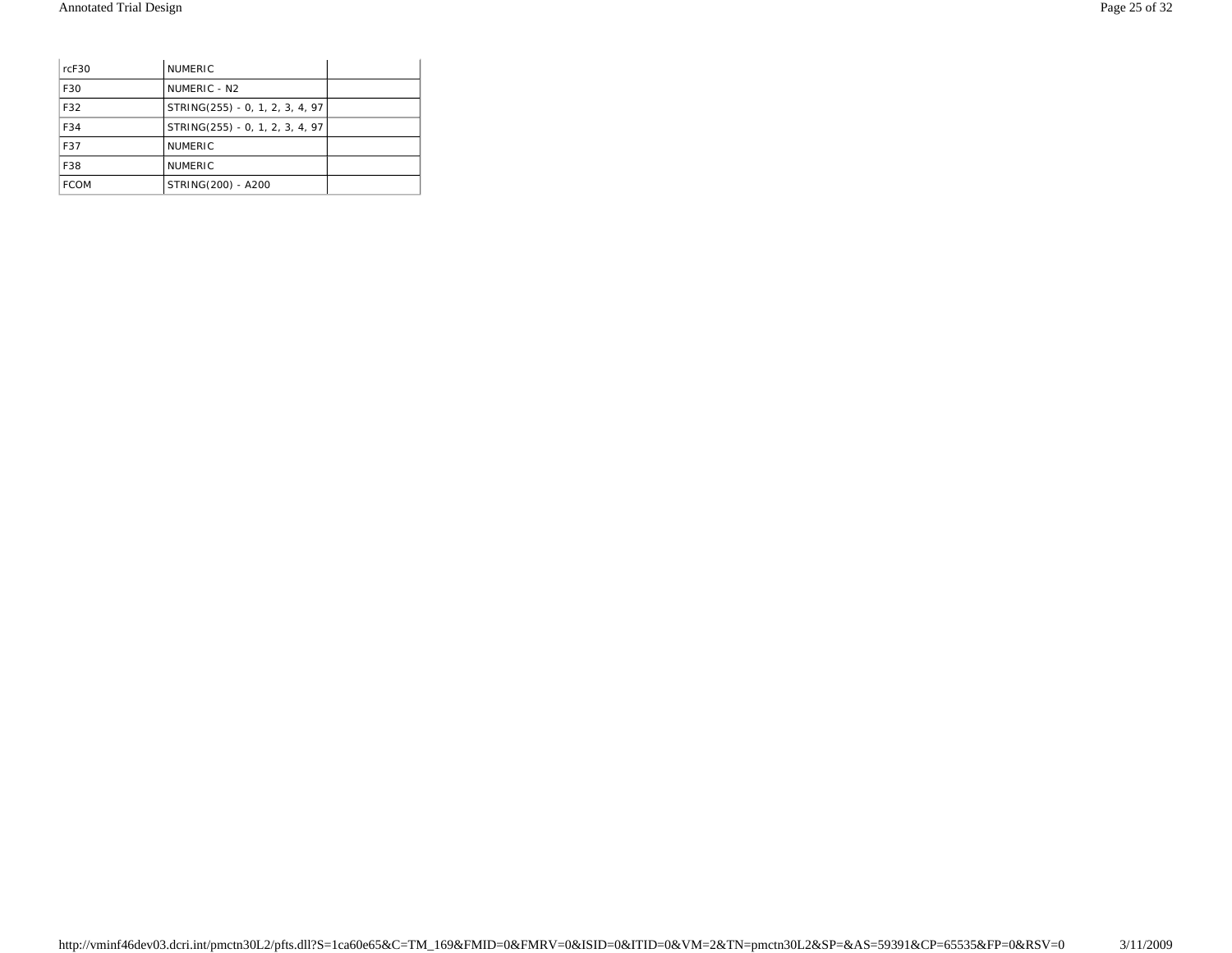| rcF30       | <b>NUMERIC</b>                  |  |
|-------------|---------------------------------|--|
| F30         | NUMERIC - N <sub>2</sub>        |  |
| F32         | STRING(255) - 0, 1, 2, 3, 4, 97 |  |
| F34         | STRING(255) - 0, 1, 2, 3, 4, 97 |  |
| F37         | <b>NUMERIC</b>                  |  |
| F38         | <b>NUMERIC</b>                  |  |
| <b>FCOM</b> | STRING(200) - A200              |  |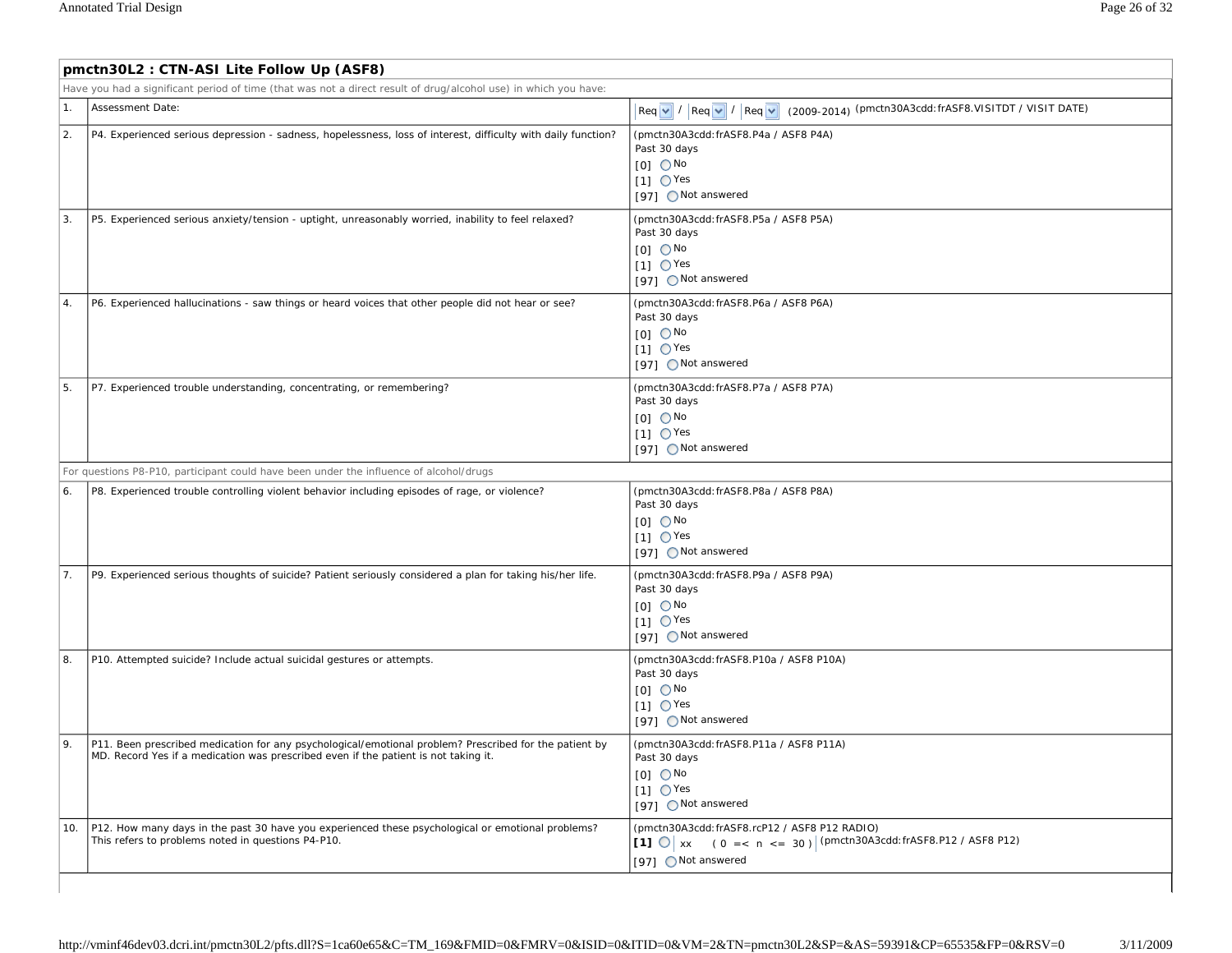Г

|     | pmctn30L2: CTN-ASI Lite Follow Up (ASF8)                                                                                                                                                      |                                                                                                                                                          |  |  |  |  |
|-----|-----------------------------------------------------------------------------------------------------------------------------------------------------------------------------------------------|----------------------------------------------------------------------------------------------------------------------------------------------------------|--|--|--|--|
|     | Have you had a significant period of time (that was not a direct result of drug/alcohol use) in which you have:                                                                               |                                                                                                                                                          |  |  |  |  |
| 1.  | Assessment Date:                                                                                                                                                                              | $\left \text{Req } \vee / \left \text{Req } \vee / \left \text{Req } \vee \right \right \right.$ (2009-2014) (pmctn30A3cdd: frASF8.VISITDT / VISIT DATE) |  |  |  |  |
| 2.  | P4. Experienced serious depression - sadness, hopelessness, loss of interest, difficulty with daily function?                                                                                 | (pmctn30A3cdd: frASF8.P4a / ASF8 P4A)<br>Past 30 days<br>$IOI$ $ONo$<br>$[1]$ $\bigcirc$ Yes<br>[97] ○ Not answered                                      |  |  |  |  |
| 3.  | P5. Experienced serious anxiety/tension - uptight, unreasonably worried, inability to feel relaxed?                                                                                           | (pmctn30A3cdd: frASF8.P5a / ASF8 P5A)<br>Past 30 days<br>$[0]$ $\bigcirc$ No<br>$[1]$ $\bigcirc$ Yes<br>[97] ○ Not answered                              |  |  |  |  |
| 4.  | P6. Experienced hallucinations - saw things or heard voices that other people did not hear or see?                                                                                            | (pmctn30A3cdd: frASF8.P6a / ASF8 P6A)<br>Past 30 days<br>$IOI$ $ONo$<br>$11 \text{ O}$ Yes<br>[97] ○ Not answered                                        |  |  |  |  |
| 5.  | P7. Experienced trouble understanding, concentrating, or remembering?                                                                                                                         | (pmctn30A3cdd: frASF8.P7a / ASF8 P7A)<br>Past 30 days<br>$[0]$ $\bigcirc$ No<br>$[1]$ $\bigcirc$ Yes<br>(97) ○ Not answered                              |  |  |  |  |
|     | For questions P8-P10, participant could have been under the influence of alcohol/drugs                                                                                                        |                                                                                                                                                          |  |  |  |  |
| 6.  | P8. Experienced trouble controlling violent behavior including episodes of rage, or violence?                                                                                                 | (pmctn30A3cdd: frASF8.P8a / ASF8 P8A)<br>Past 30 days<br>$[0]$ $\bigcirc$ No<br>$[1]$ $\bigcirc$ Yes<br>[97] Not answered                                |  |  |  |  |
| 7.  | P9. Experienced serious thoughts of suicide? Patient seriously considered a plan for taking his/her life.                                                                                     | (pmctn30A3cdd: frASF8.P9a / ASF8 P9A)<br>Past 30 days<br>$[0]$ $\bigcirc$ No<br>$11 \text{ O}$ Yes<br>[97] ○ Not answered                                |  |  |  |  |
| 8.  | P10. Attempted suicide? Include actual suicidal gestures or attempts.                                                                                                                         | (pmctn30A3cdd: frASF8.P10a / ASF8 P10A)<br>Past 30 days<br>$[0]$ $\bigcirc$ No<br>$11 \text{ O}$ Yes<br>[97] ○ Not answered                              |  |  |  |  |
| 9.  | P11. Been prescribed medication for any psychological/emotional problem? Prescribed for the patient by<br>MD. Record Yes if a medication was prescribed even if the patient is not taking it. | (pmctn30A3cdd: frASF8.P11a / ASF8 P11A)<br>Past 30 days<br>$[0]$ $\bigcirc$ No<br>$[1]$ $\bigcirc$ Yes<br>[97] ○ Not answered                            |  |  |  |  |
| 10. | P12. How many days in the past 30 have you experienced these psychological or emotional problems?<br>This refers to problems noted in questions P4-P10.                                       | (pmctn30A3cdd: frASF8.rcP12 / ASF8 P12 RADIO)<br>$(0 = < n < = 30)$ (pmctn30A3cdd: frASF8.P12 / ASF8 P12)<br>[1] $\bigcirc$ xx<br>(97) ONot answered     |  |  |  |  |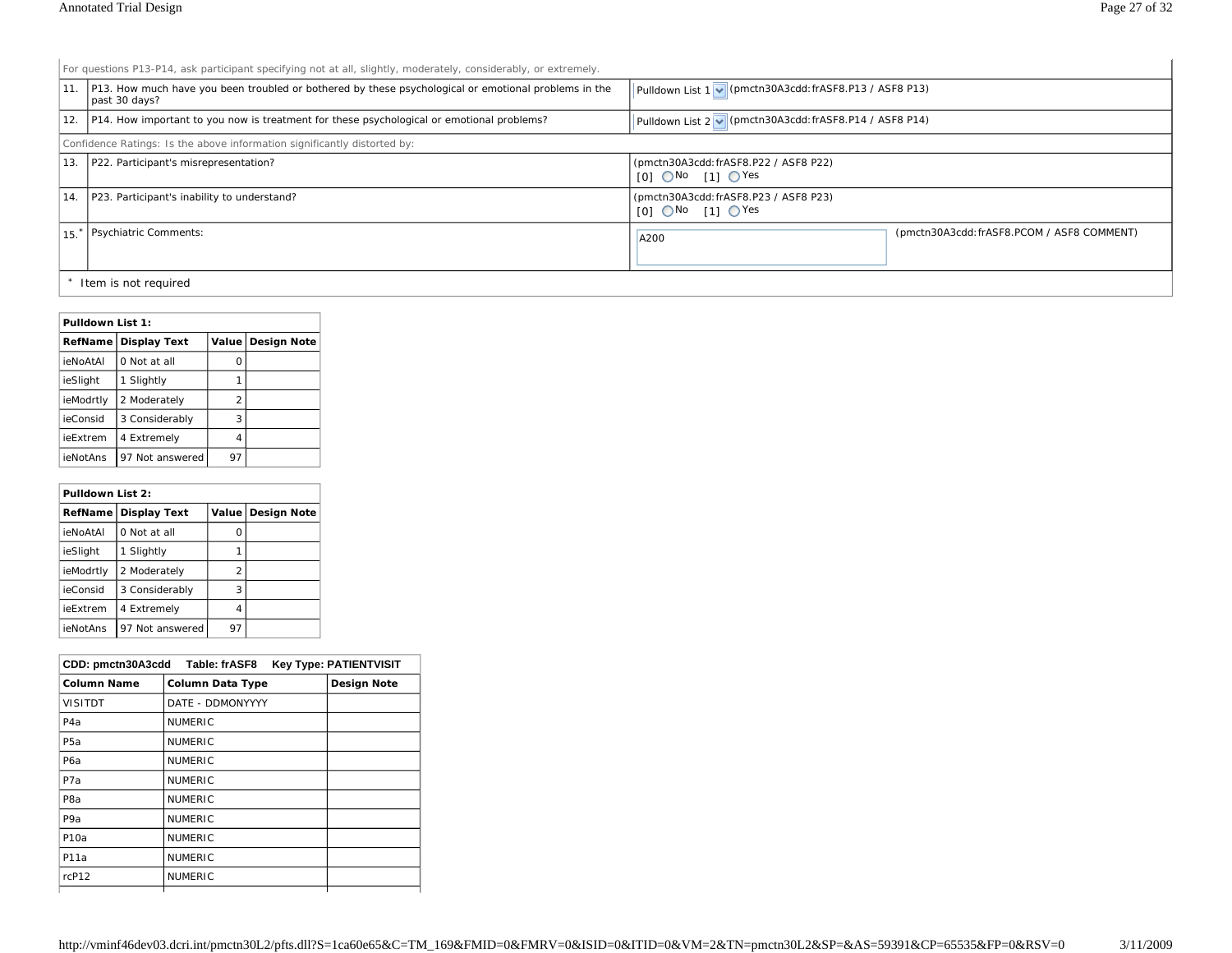For questions P13-P14, ask participant specifying not at all, slightly, moderately, considerably, or extremely.

|     | 11. P13. How much have you been troubled or bothered by these psychological or emotional problems in the<br>past 30 days? | Pulldown List 1 v (pmctn30A3cdd: frASF8.P13 / ASF8 P13)             |                                            |  |  |
|-----|---------------------------------------------------------------------------------------------------------------------------|---------------------------------------------------------------------|--------------------------------------------|--|--|
| 12. | P14. How important to you now is treatment for these psychological or emotional problems?                                 | Pulldown List 2 v (pmctn30A3cdd: frASF8.P14 / ASF8 P14)             |                                            |  |  |
|     | Confidence Ratings: Is the above information significantly distorted by:                                                  |                                                                     |                                            |  |  |
| 13. | P22. Participant's misrepresentation?                                                                                     | (pmctn30A3cdd: frASF8.P22 / ASF8 P22)<br>$IOI$ $O$ No $I1I$ $O$ Yes |                                            |  |  |
| 14. | P23. Participant's inability to understand?                                                                               | (pmctn30A3cdd: frASF8.P23 / ASF8 P23)<br>$IOI$ $O$ No $I1$ $O$ Yes  |                                            |  |  |
|     | 15 <sup>*</sup>   Psychiatric Comments:                                                                                   | A200                                                                | (pmctn30A3cdd: frASF8.PCOM / ASF8 COMMENT) |  |  |
|     | Item is not required                                                                                                      |                                                                     |                                            |  |  |

#### **Pulldown List 1:**

|           | RefName Display Text |    | Value   Design Note |
|-----------|----------------------|----|---------------------|
| ieNoAtAl  | 0 Not at all         | Ω  |                     |
| ieSlight  | 1 Slightly           |    |                     |
| ieModrtly | 2 Moderately         | 2  |                     |
| ieConsid  | 3 Considerably       | 3  |                     |
| ieExtrem  | 4 Extremely          | 4  |                     |
| ieNotAns  | 97 Not answered      | 97 |                     |

## **Pulldown List 2:**

|                 | RefName Display Text |                | Value Design Note |
|-----------------|----------------------|----------------|-------------------|
| <b>ieNoAtAl</b> | 0 Not at all         | Ω              |                   |
| ieSlight        | 1 Slightly           |                |                   |
| ieModrtly       | 2 Moderately         | $\mathfrak{p}$ |                   |
| ieConsid        | 3 Considerably       | 3              |                   |
| ieExtrem        | 4 Extremely          | 4              |                   |
| ieNotAns        | 97 Not answered      | 97             |                   |

| CDD: pmctn30A3cdd Table: frASF8<br><b>Key Type: PATIENTVISIT</b> |                         |                    |
|------------------------------------------------------------------|-------------------------|--------------------|
| <b>Column Name</b>                                               | <b>Column Data Type</b> | <b>Design Note</b> |
| <b>VISITDT</b>                                                   | DATE - DDMONYYYY        |                    |
| P <sub>4</sub> a                                                 | <b>NUMERIC</b>          |                    |
| P <sub>5</sub> a                                                 | <b>NUMERIC</b>          |                    |
| P <sub>6</sub> a                                                 | <b>NUMERIC</b>          |                    |
| P <sub>7</sub> a                                                 | <b>NUMERIC</b>          |                    |
| P <sub>8</sub> a                                                 | <b>NUMERIC</b>          |                    |
| P <sub>9</sub> a                                                 | <b>NUMERIC</b>          |                    |
| P10a                                                             | <b>NUMERIC</b>          |                    |
| P11a                                                             | <b>NUMERIC</b>          |                    |
| rcP12                                                            | <b>NUMERIC</b>          |                    |
|                                                                  |                         |                    |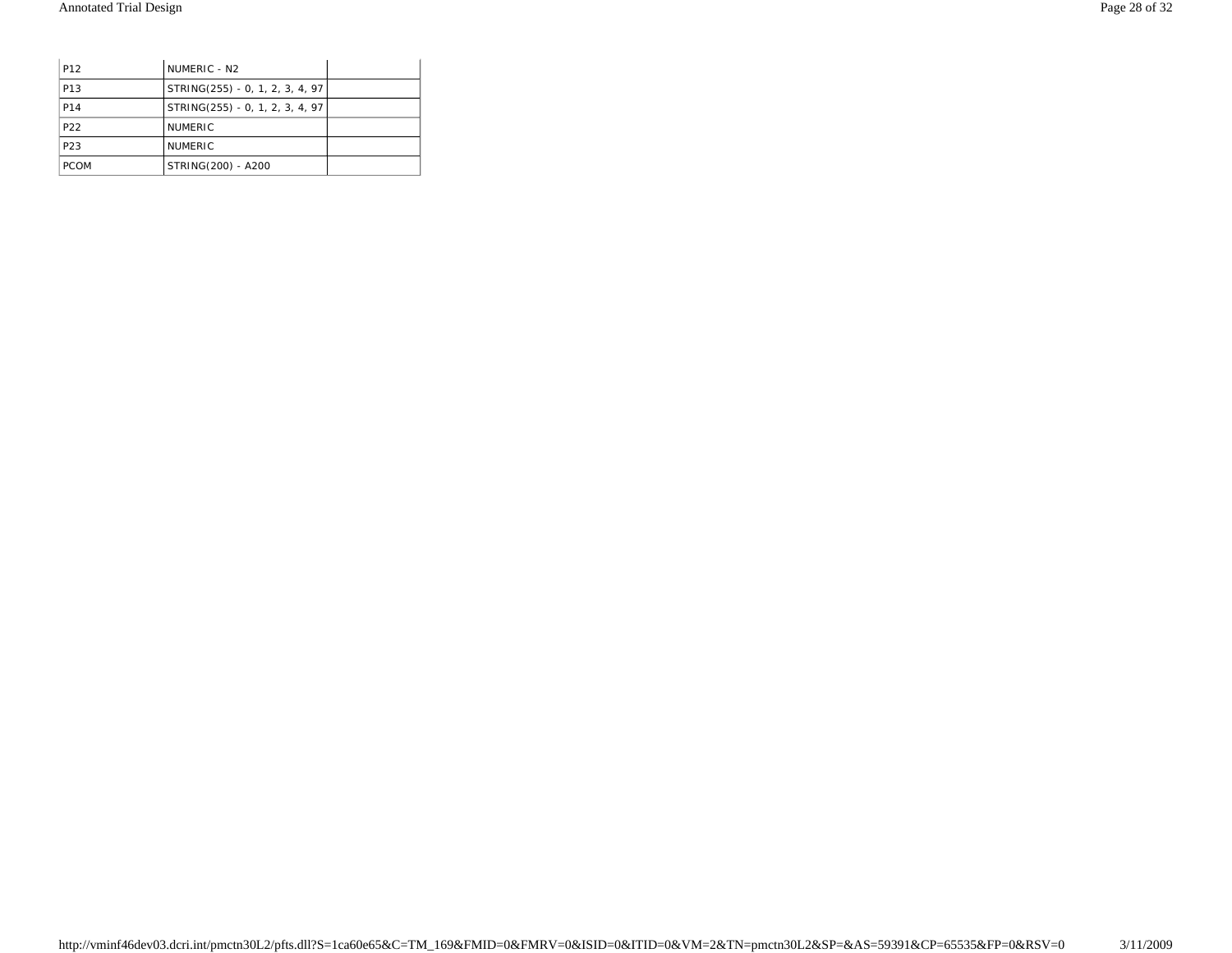| P <sub>12</sub> | NUMERIC - N <sub>2</sub>        |  |
|-----------------|---------------------------------|--|
| P <sub>13</sub> | STRING(255) - 0, 1, 2, 3, 4, 97 |  |
| P14             | STRING(255) - 0, 1, 2, 3, 4, 97 |  |
| P <sub>22</sub> | <b>NUMERIC</b>                  |  |
| P <sub>23</sub> | <b>NUMERIC</b>                  |  |
| <b>PCOM</b>     | STRING(200) - A200              |  |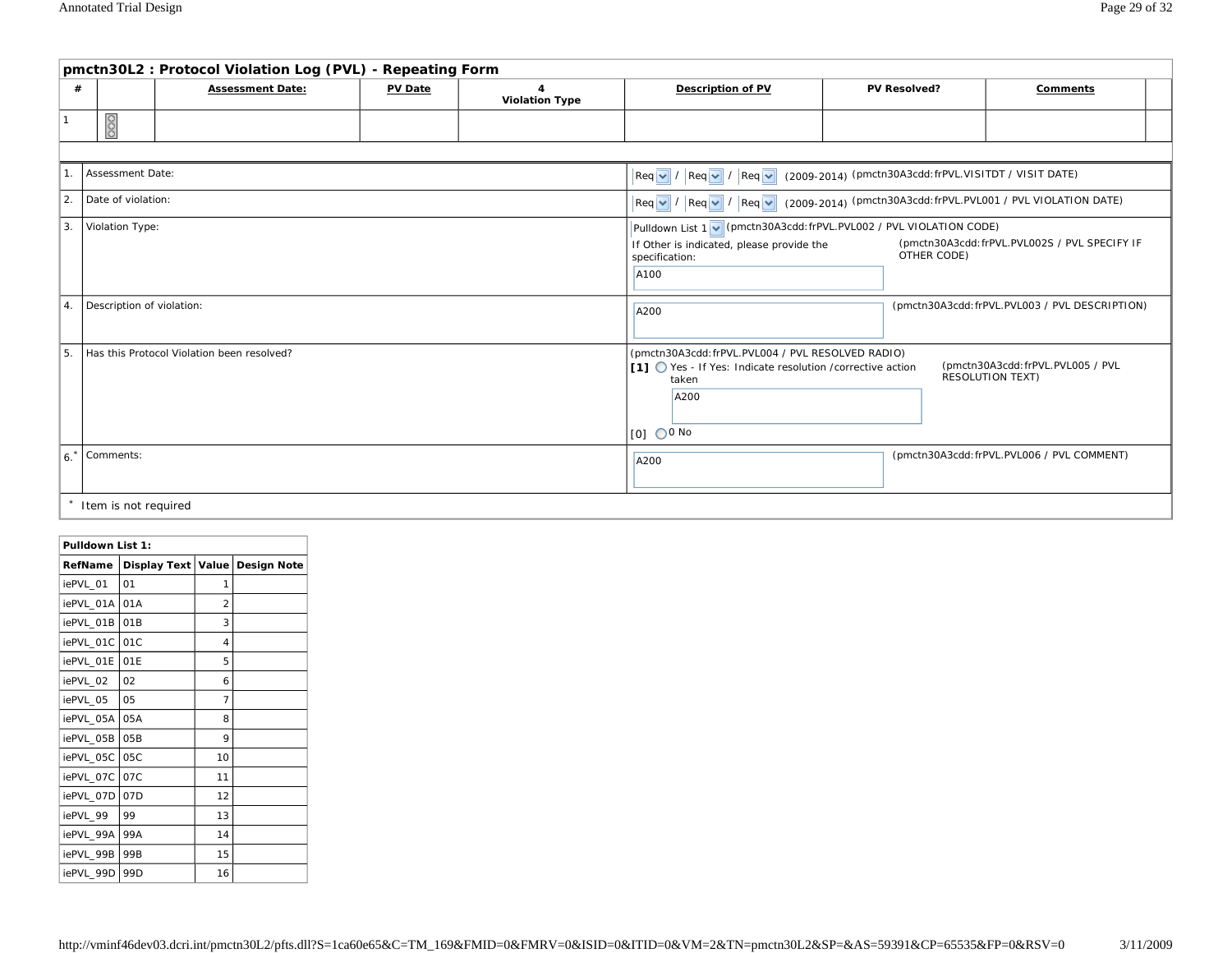|                                                                                                                                                                                    | pmctn30L2: Protocol Violation Log (PVL) - Repeating Form |                                            |                                              |                                         |                                                                                                                                                                                                               |                     |                                                             |
|------------------------------------------------------------------------------------------------------------------------------------------------------------------------------------|----------------------------------------------------------|--------------------------------------------|----------------------------------------------|-----------------------------------------|---------------------------------------------------------------------------------------------------------------------------------------------------------------------------------------------------------------|---------------------|-------------------------------------------------------------|
| #                                                                                                                                                                                  |                                                          | <b>Assessment Date:</b>                    | <b>PV Date</b>                               | $\overline{4}$<br><b>Violation Type</b> | <b>Description of PV</b>                                                                                                                                                                                      | <b>PV Resolved?</b> | Comments                                                    |
| $\mathbf{1}$                                                                                                                                                                       | 80                                                       |                                            |                                              |                                         |                                                                                                                                                                                                               |                     |                                                             |
|                                                                                                                                                                                    |                                                          |                                            |                                              |                                         |                                                                                                                                                                                                               |                     |                                                             |
| 11.                                                                                                                                                                                | Assessment Date:                                         |                                            |                                              |                                         | (2009-2014) (pmctn30A3cdd: frPVL.VISITDT / VISIT DATE)<br>$ Req $ / $ Req $ / $ Req $ /                                                                                                                       |                     |                                                             |
| 2.                                                                                                                                                                                 | Date of violation:                                       |                                            |                                              |                                         | $\left \text{Req } \blacktriangleright \right  / \left \text{Req } \blacktriangleright \right  / \left \text{Req } \blacktriangleright \right $ (2009-2014) (pmctn30A3cdd: frPVL.PVL001 / PVL VIOLATION DATE) |                     |                                                             |
| 3.<br>Pulldown List 1 v (pmctn30A3cdd: frPVL.PVL002 / PVL VIOLATION CODE)<br>Violation Type:<br>If Other is indicated, please provide the<br>OTHER CODE)<br>specification:<br>A100 |                                                          |                                            | (pmctn30A3cdd:frPVL.PVL002S / PVL SPECIFY IF |                                         |                                                                                                                                                                                                               |                     |                                                             |
| Description of violation:<br>4.                                                                                                                                                    |                                                          |                                            | A200                                         |                                         | (pmctn30A3cdd:frPVL.PVL003 / PVL DESCRIPTION)                                                                                                                                                                 |                     |                                                             |
| 5.                                                                                                                                                                                 |                                                          | Has this Protocol Violation been resolved? |                                              |                                         | (pmctn30A3cdd:frPVL.PVL004 / PVL RESOLVED RADIO)<br>[1] ◯ Yes - If Yes: Indicate resolution / corrective action<br>taken<br>A200<br>$[0]$ $\bigcirc$ 0 No                                                     |                     | (pmctn30A3cdd:frPVL.PVL005 / PVL<br><b>RESOLUTION TEXT)</b> |
| 6.                                                                                                                                                                                 | Comments:                                                |                                            |                                              |                                         | A200                                                                                                                                                                                                          |                     | (pmctn30A3cdd:frPVL.PVL006 / PVL COMMENT)                   |
|                                                                                                                                                                                    | Item is not required                                     |                                            |                                              |                                         |                                                                                                                                                                                                               |                     |                                                             |

| Pulldown List 1: |                     |                          |                    |
|------------------|---------------------|--------------------------|--------------------|
| RefName          | <b>Display Text</b> | Value                    | <b>Design Note</b> |
| iePVL 01         | 01                  | 1                        |                    |
| iePVL 01A        | 01A                 | $\overline{\mathcal{L}}$ |                    |
| iePVL 01B        | 01B                 | 3                        |                    |
| iePVL 01C        | 01C                 | 4                        |                    |
| iePVL 01E        | 01E                 | 5                        |                    |
| iePVL 02         | 02                  | 6                        |                    |
| iePVL 05         | 05                  | 7                        |                    |
| iePVL 05A        | 05A                 | 8                        |                    |
| iePVL 05B        | 05B                 | 9                        |                    |
| iePVL_05C        | 05C                 | 10                       |                    |
| iePVL 07C        | 07C                 | 11                       |                    |
| iePVL 07D        | 07D                 | 12                       |                    |
| iePVL 99         | 99                  | 13                       |                    |
| iePVL 99A        | 99A                 | 14                       |                    |
| iePVL 99B        | 99 <sub>B</sub>     | 15                       |                    |
| iePVL 99D        | 99 <sub>D</sub>     | 16                       |                    |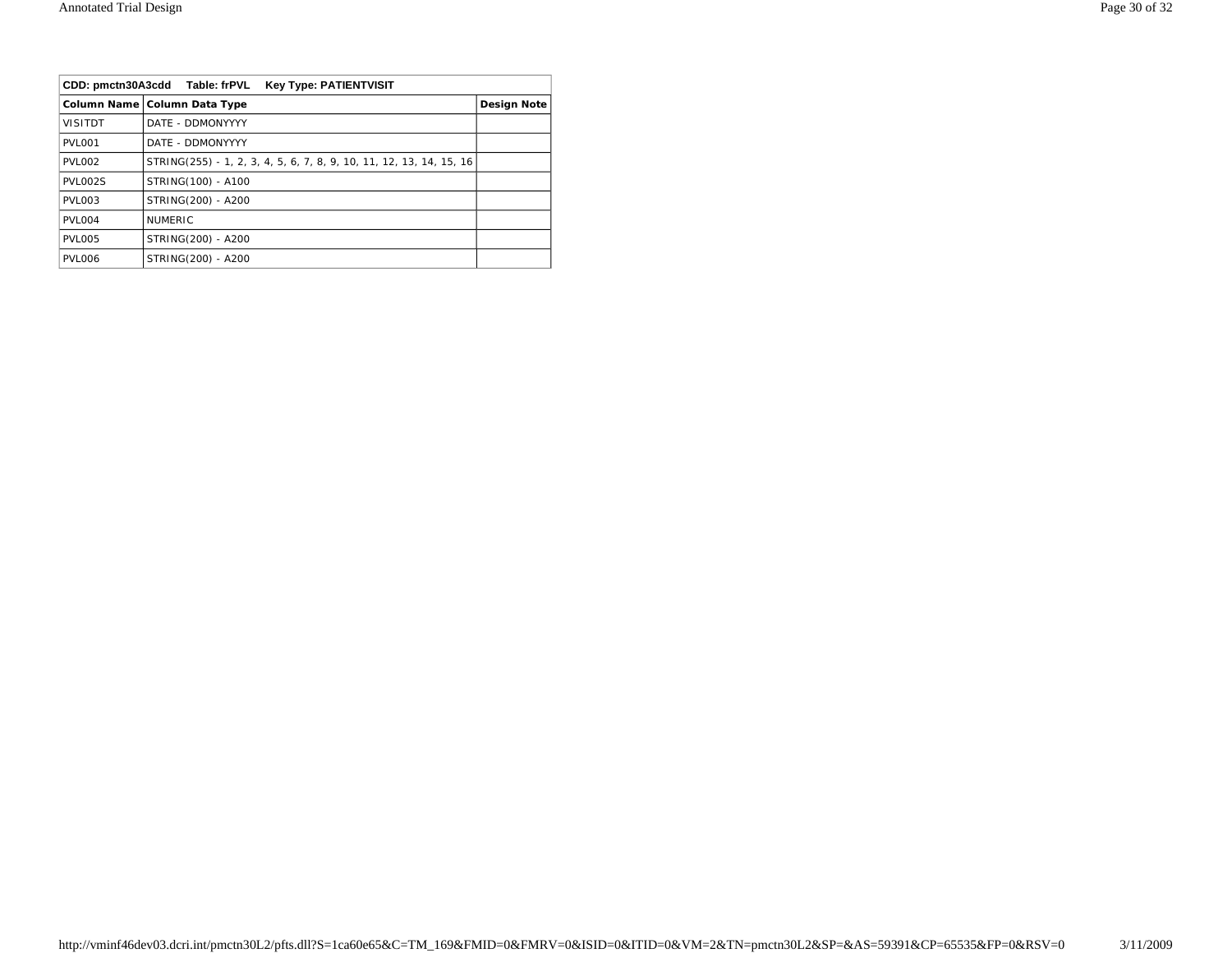| CDD: pmctn30A3cdd Table: frPVL<br><b>Key Type: PATIENTVISIT</b> |                                                                     |                    |
|-----------------------------------------------------------------|---------------------------------------------------------------------|--------------------|
|                                                                 | Column Name   Column Data Type                                      | <b>Design Note</b> |
| <b>VISITDT</b>                                                  | DATE - DDMONYYYY                                                    |                    |
| PVL001                                                          | DATE - DDMONYYYY                                                    |                    |
| PVL002                                                          | STRING(255) - 1, 2, 3, 4, 5, 6, 7, 8, 9, 10, 11, 12, 13, 14, 15, 16 |                    |
| <b>PVL002S</b>                                                  | STRING(100) - A100                                                  |                    |
| <b>PVL003</b>                                                   | STRING(200) - A200                                                  |                    |
| PVL004                                                          | <b>NUMERIC</b>                                                      |                    |
| <b>PVL005</b>                                                   | STRING(200) - A200                                                  |                    |
| PVL006                                                          | STRING(200) - A200                                                  |                    |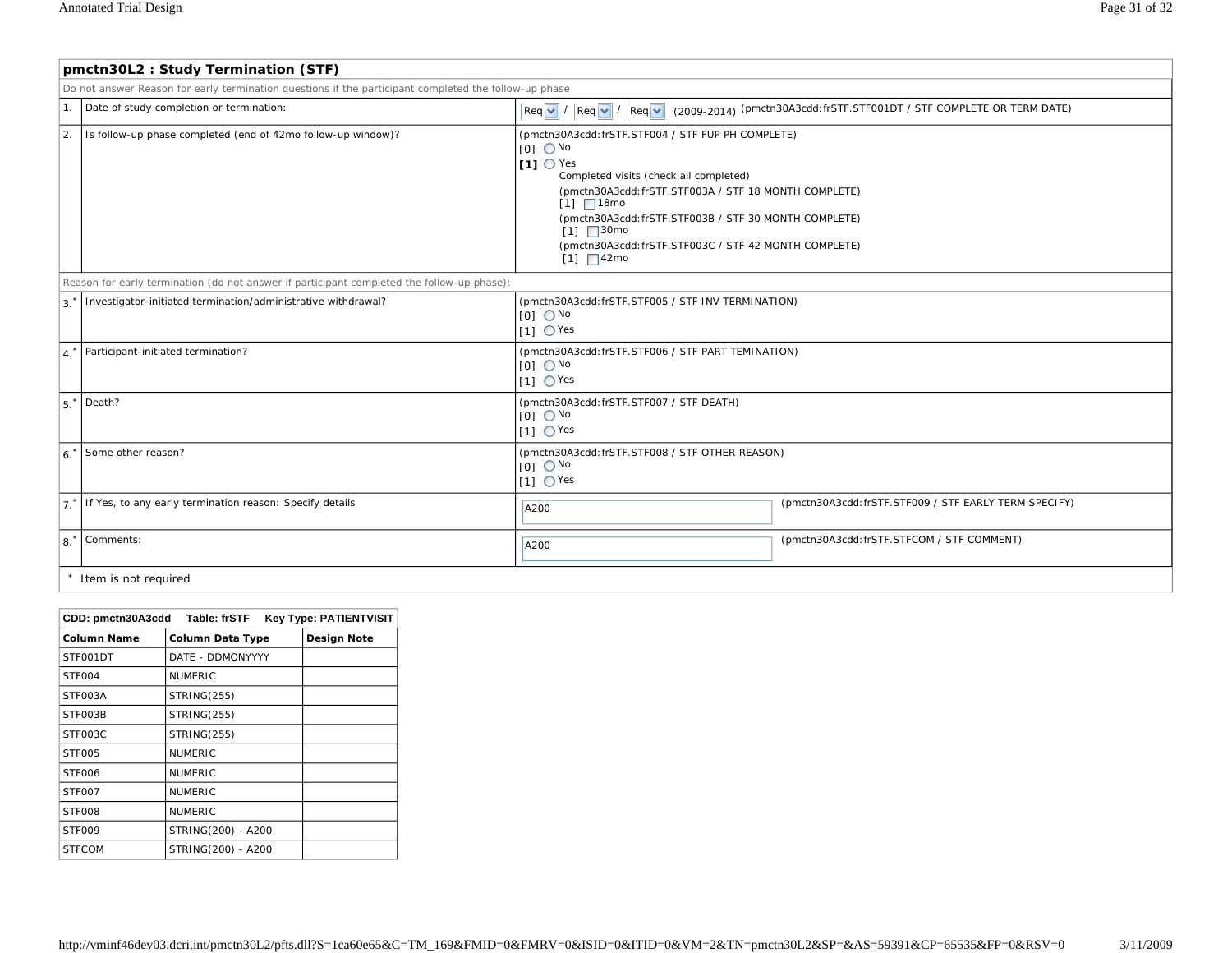|                                                                                            | pmctn30L2: Study Termination (STF)                                                                    |                                                                                                                                                                                                                                                                                                                                                                    |                                                                                                      |  |  |
|--------------------------------------------------------------------------------------------|-------------------------------------------------------------------------------------------------------|--------------------------------------------------------------------------------------------------------------------------------------------------------------------------------------------------------------------------------------------------------------------------------------------------------------------------------------------------------------------|------------------------------------------------------------------------------------------------------|--|--|
|                                                                                            | Do not answer Reason for early termination questions if the participant completed the follow-up phase |                                                                                                                                                                                                                                                                                                                                                                    |                                                                                                      |  |  |
| 1.                                                                                         | Date of study completion or termination:                                                              |                                                                                                                                                                                                                                                                                                                                                                    | Req v   /  Req v   /  Req v   (2009-2014) (pmctn30A3cdd: frSTF.STF001DT / STF COMPLETE OR TERM DATE) |  |  |
| 2.                                                                                         | Is follow-up phase completed (end of 42mo follow-up window)?                                          | (pmctn30A3cdd:frSTF.STF004 / STF FUP PH COMPLETE)<br>$[0]$ $\bigcirc$ No<br>$I11$ O Yes<br>Completed visits (check all completed)<br>(pmctn30A3cdd: frSTF.STF003A / STF 18 MONTH COMPLETE)<br>$\sqrt{11}$ 18mo<br>(pmctn30A3cdd: frSTF.STF003B / STF 30 MONTH COMPLETE)<br>$[1]$ 30mo<br>(pmctn30A3cdd: frSTF.STF003C / STF 42 MONTH COMPLETE)<br>$\sqrt{11}$ 42mo |                                                                                                      |  |  |
| Reason for early termination (do not answer if participant completed the follow-up phase): |                                                                                                       |                                                                                                                                                                                                                                                                                                                                                                    |                                                                                                      |  |  |
| 3.                                                                                         | Investigator-initiated termination/administrative withdrawal?                                         | (pmctn30A3cdd:frSTF.STF005 / STF INV TERMINATION)<br>$[0]$ $\bigcirc$ No<br>$11 \text{ O}$ Yes                                                                                                                                                                                                                                                                     |                                                                                                      |  |  |
| $4^*$                                                                                      | Participant-initiated termination?                                                                    | (pmctn30A3cdd:frSTF.STF006 / STF PART TEMINATION)<br>$[0]$ $\bigcirc$ No<br>$[1]$ $\bigcirc$ Yes                                                                                                                                                                                                                                                                   |                                                                                                      |  |  |
| $5.*$                                                                                      | Death?                                                                                                | (pmctn30A3cdd: frSTF.STF007 / STF DEATH)<br>$[0]$ $\bigcirc$ No<br>$11 \text{ O}$ Yes                                                                                                                                                                                                                                                                              |                                                                                                      |  |  |
| 6.                                                                                         | Some other reason?                                                                                    | (pmctn30A3cdd:frSTF.STF008 / STF OTHER REASON)<br>$[0]$ $\bigcirc$ No<br>$11 \text{ O}$ Yes                                                                                                                                                                                                                                                                        |                                                                                                      |  |  |
|                                                                                            | 7 <sup>*</sup> If Yes, to any early termination reason: Specify details                               | A200                                                                                                                                                                                                                                                                                                                                                               | (pmctn30A3cdd: frSTF.STF009 / STF EARLY TERM SPECIFY)                                                |  |  |
| 8.                                                                                         | Comments:                                                                                             | A200                                                                                                                                                                                                                                                                                                                                                               | (pmctn30A3cdd: frSTF.STFCOM / STF COMMENT)                                                           |  |  |
|                                                                                            | Item is not required                                                                                  |                                                                                                                                                                                                                                                                                                                                                                    |                                                                                                      |  |  |

| CDD: pmctn30A3cdd Table: frSTF<br><b>Key Type: PATIENTVISIT</b> |                         |                    |  |
|-----------------------------------------------------------------|-------------------------|--------------------|--|
| <b>Column Name</b>                                              | <b>Column Data Type</b> | <b>Design Note</b> |  |
| STF001DT                                                        | DATE - DDMONYYYY        |                    |  |
| STF <sub>004</sub>                                              | <b>NUMERIC</b>          |                    |  |
| STF003A                                                         | <b>STRING(255)</b>      |                    |  |
| STF003B                                                         | <b>STRING(255)</b>      |                    |  |
| STF003C                                                         | <b>STRING(255)</b>      |                    |  |
| STF005                                                          | <b>NUMERIC</b>          |                    |  |
| STF006                                                          | <b>NUMERIC</b>          |                    |  |
| STF007                                                          | <b>NUMERIC</b>          |                    |  |
| STF008                                                          | <b>NUMERIC</b>          |                    |  |
| STF009                                                          | STRING(200) - A200      |                    |  |
| <b>STFCOM</b>                                                   | STRING(200) - A200      |                    |  |